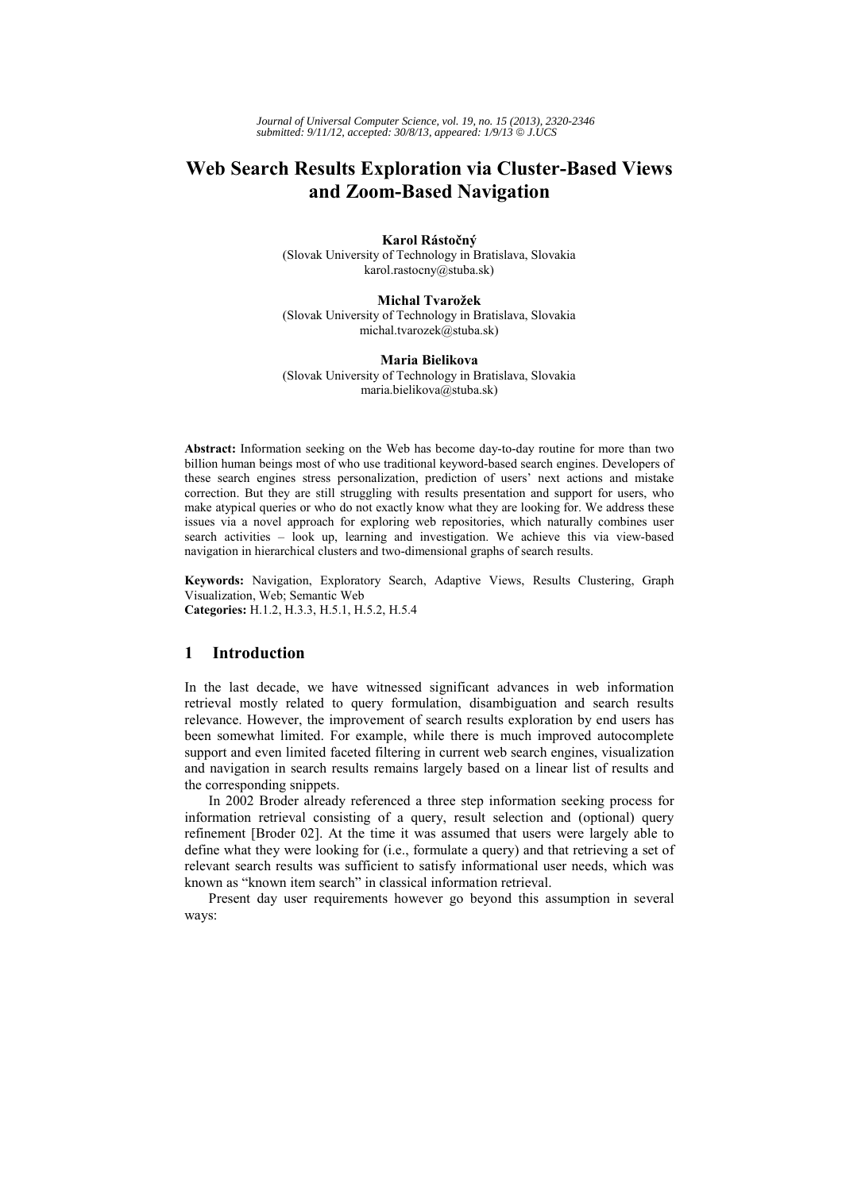# **Web Search Results Exploration via Cluster-Based Views and Zoom-Based Navigation**

**Karol Rástočný**  (Slovak University of Technology in Bratislava, Slovakia karol.rastocny@stuba.sk)

**Michal Tvarožek**  (Slovak University of Technology in Bratislava, Slovakia michal.tvarozek@stuba.sk)

#### **Maria Bielikova**  (Slovak University of Technology in Bratislava, Slovakia maria.bielikova@stuba.sk)

**Abstract:** Information seeking on the Web has become day-to-day routine for more than two billion human beings most of who use traditional keyword-based search engines. Developers of these search engines stress personalization, prediction of users' next actions and mistake correction. But they are still struggling with results presentation and support for users, who make atypical queries or who do not exactly know what they are looking for. We address these issues via a novel approach for exploring web repositories, which naturally combines user search activities – look up, learning and investigation. We achieve this via view-based navigation in hierarchical clusters and two-dimensional graphs of search results.

**Keywords:** Navigation, Exploratory Search, Adaptive Views, Results Clustering, Graph Visualization, Web; Semantic Web **Categories:** H.1.2, H.3.3, H.5.1, H.5.2, H.5.4

## **1 Introduction**

In the last decade, we have witnessed significant advances in web information retrieval mostly related to query formulation, disambiguation and search results relevance. However, the improvement of search results exploration by end users has been somewhat limited. For example, while there is much improved autocomplete support and even limited faceted filtering in current web search engines, visualization and navigation in search results remains largely based on a linear list of results and the corresponding snippets.

In 2002 Broder already referenced a three step information seeking process for information retrieval consisting of a query, result selection and (optional) query refinement [Broder 02]. At the time it was assumed that users were largely able to define what they were looking for (i.e., formulate a query) and that retrieving a set of relevant search results was sufficient to satisfy informational user needs, which was known as "known item search" in classical information retrieval.

Present day user requirements however go beyond this assumption in several ways: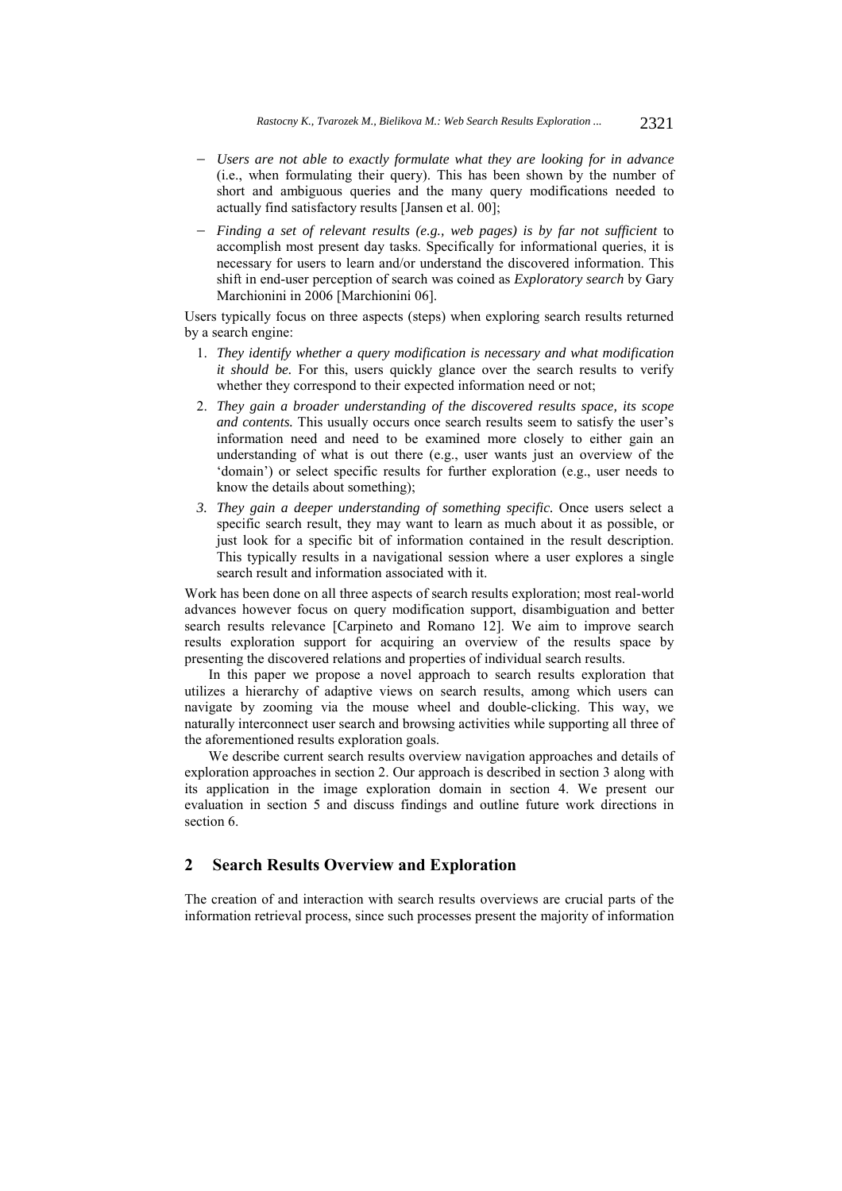- *Users are not able to exactly formulate what they are looking for in advance* (i.e., when formulating their query). This has been shown by the number of short and ambiguous queries and the many query modifications needed to actually find satisfactory results [Jansen et al. 00];
- *Finding a set of relevant results (e.g., web pages) is by far not sufficient* to accomplish most present day tasks. Specifically for informational queries, it is necessary for users to learn and/or understand the discovered information. This shift in end-user perception of search was coined as *Exploratory search* by Gary Marchionini in 2006 [Marchionini 06].

Users typically focus on three aspects (steps) when exploring search results returned by a search engine:

- 1. *They identify whether a query modification is necessary and what modification it should be.* For this, users quickly glance over the search results to verify whether they correspond to their expected information need or not;
- 2. *They gain a broader understanding of the discovered results space, its scope and contents.* This usually occurs once search results seem to satisfy the user's information need and need to be examined more closely to either gain an understanding of what is out there (e.g., user wants just an overview of the 'domain') or select specific results for further exploration (e.g., user needs to know the details about something);
- *3. They gain a deeper understanding of something specific.* Once users select a specific search result, they may want to learn as much about it as possible, or just look for a specific bit of information contained in the result description. This typically results in a navigational session where a user explores a single search result and information associated with it.

Work has been done on all three aspects of search results exploration; most real-world advances however focus on query modification support, disambiguation and better search results relevance [Carpineto and Romano 12]. We aim to improve search results exploration support for acquiring an overview of the results space by presenting the discovered relations and properties of individual search results.

In this paper we propose a novel approach to search results exploration that utilizes a hierarchy of adaptive views on search results, among which users can navigate by zooming via the mouse wheel and double-clicking. This way, we naturally interconnect user search and browsing activities while supporting all three of the aforementioned results exploration goals.

We describe current search results overview navigation approaches and details of exploration approaches in section 2. Our approach is described in section 3 along with its application in the image exploration domain in section 4. We present our evaluation in section 5 and discuss findings and outline future work directions in section 6.

## **2 Search Results Overview and Exploration**

The creation of and interaction with search results overviews are crucial parts of the information retrieval process, since such processes present the majority of information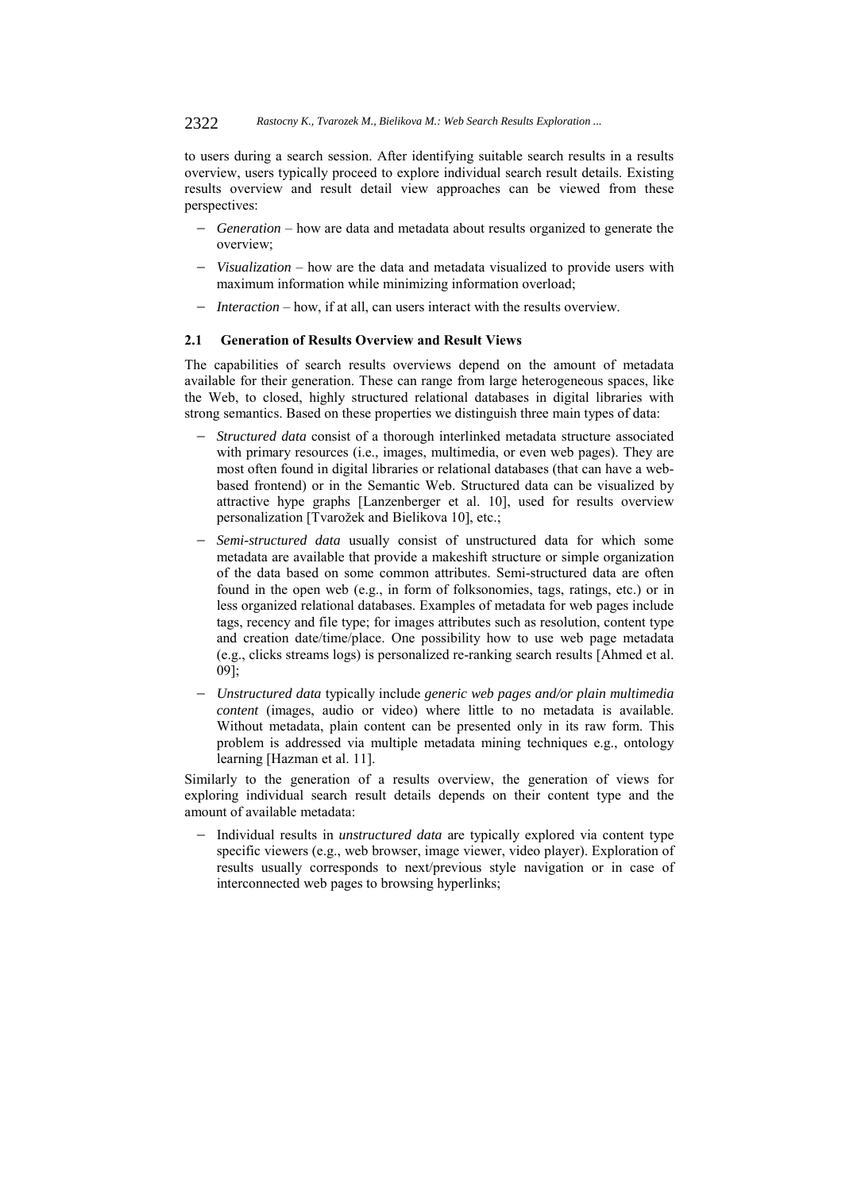#### 2322 *Rastocny K., Tvarozek M., Bielikova M.: Web Search Results Exploration ...*

to users during a search session. After identifying suitable search results in a results overview, users typically proceed to explore individual search result details. Existing results overview and result detail view approaches can be viewed from these perspectives:

- *Generation* how are data and metadata about results organized to generate the overview;
- *Visualization* how are the data and metadata visualized to provide users with maximum information while minimizing information overload;
- *Interaction* how, if at all, can users interact with the results overview.

#### **2.1 Generation of Results Overview and Result Views**

The capabilities of search results overviews depend on the amount of metadata available for their generation. These can range from large heterogeneous spaces, like the Web, to closed, highly structured relational databases in digital libraries with strong semantics. Based on these properties we distinguish three main types of data:

- *Structured data* consist of a thorough interlinked metadata structure associated with primary resources (i.e., images, multimedia, or even web pages). They are most often found in digital libraries or relational databases (that can have a webbased frontend) or in the Semantic Web. Structured data can be visualized by attractive hype graphs [Lanzenberger et al. 10], used for results overview personalization [Tvarožek and Bielikova 10], etc.;
- *Semi-structured data* usually consist of unstructured data for which some metadata are available that provide a makeshift structure or simple organization of the data based on some common attributes. Semi-structured data are often found in the open web (e.g., in form of folksonomies, tags, ratings, etc.) or in less organized relational databases. Examples of metadata for web pages include tags, recency and file type; for images attributes such as resolution, content type and creation date/time/place. One possibility how to use web page metadata (e.g., clicks streams logs) is personalized re-ranking search results [Ahmed et al. 09];
- *Unstructured data* typically include *generic web pages and/or plain multimedia content* (images, audio or video) where little to no metadata is available. Without metadata, plain content can be presented only in its raw form. This problem is addressed via multiple metadata mining techniques e.g., ontology learning [Hazman et al. 11].

Similarly to the generation of a results overview, the generation of views for exploring individual search result details depends on their content type and the amount of available metadata:

- Individual results in *unstructured data* are typically explored via content type specific viewers (e.g., web browser, image viewer, video player). Exploration of results usually corresponds to next/previous style navigation or in case of interconnected web pages to browsing hyperlinks;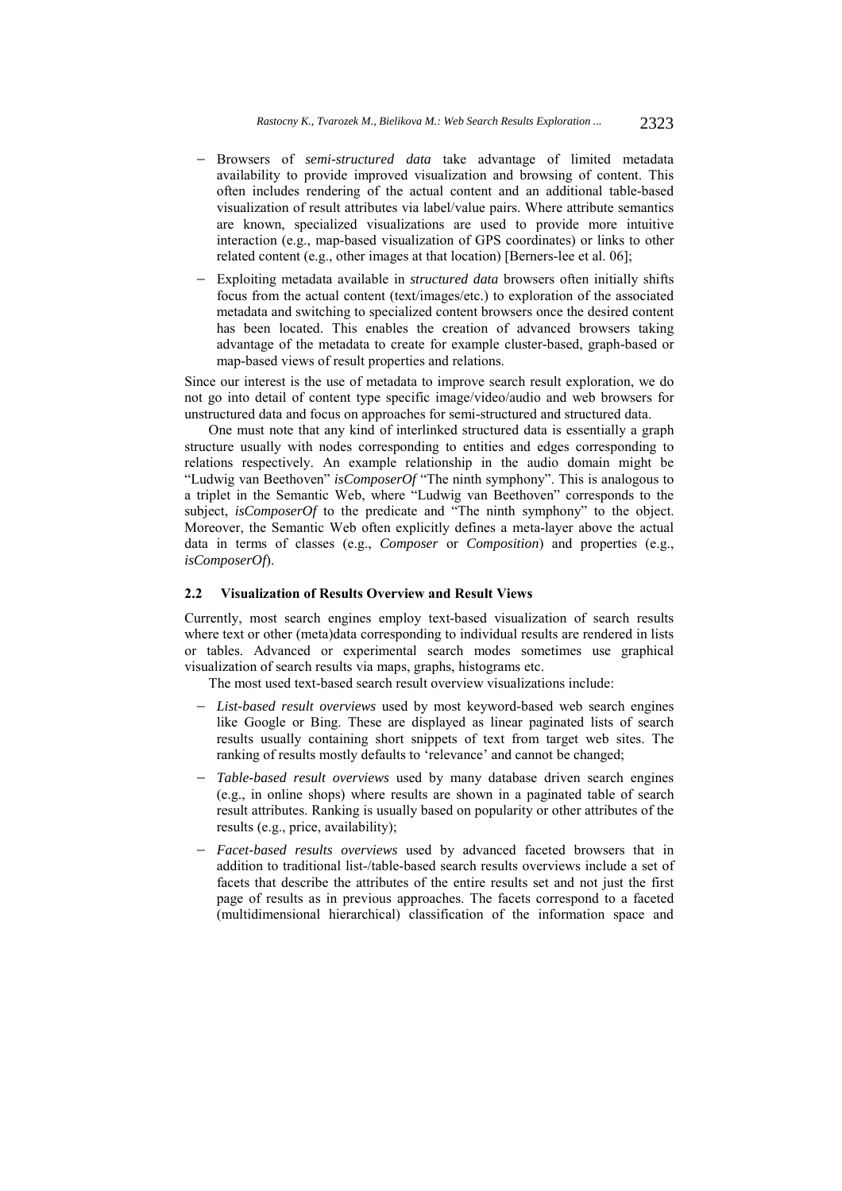- Browsers of *semi-structured data* take advantage of limited metadata availability to provide improved visualization and browsing of content. This often includes rendering of the actual content and an additional table-based visualization of result attributes via label/value pairs. Where attribute semantics are known, specialized visualizations are used to provide more intuitive interaction (e.g., map-based visualization of GPS coordinates) or links to other related content (e.g., other images at that location) [Berners-lee et al. 06];
- Exploiting metadata available in *structured data* browsers often initially shifts focus from the actual content (text/images/etc.) to exploration of the associated metadata and switching to specialized content browsers once the desired content has been located. This enables the creation of advanced browsers taking advantage of the metadata to create for example cluster-based, graph-based or map-based views of result properties and relations.

Since our interest is the use of metadata to improve search result exploration, we do not go into detail of content type specific image/video/audio and web browsers for unstructured data and focus on approaches for semi-structured and structured data.

One must note that any kind of interlinked structured data is essentially a graph structure usually with nodes corresponding to entities and edges corresponding to relations respectively. An example relationship in the audio domain might be "Ludwig van Beethoven" *isComposerOf* "The ninth symphony". This is analogous to a triplet in the Semantic Web, where "Ludwig van Beethoven" corresponds to the subject, *isComposerOf* to the predicate and "The ninth symphony" to the object. Moreover, the Semantic Web often explicitly defines a meta-layer above the actual data in terms of classes (e.g., *Composer* or *Composition*) and properties (e.g., *isComposerOf*).

#### **2.2 Visualization of Results Overview and Result Views**

Currently, most search engines employ text-based visualization of search results where text or other (meta)data corresponding to individual results are rendered in lists or tables. Advanced or experimental search modes sometimes use graphical visualization of search results via maps, graphs, histograms etc.

The most used text-based search result overview visualizations include:

- *List-based result overviews* used by most keyword-based web search engines like Google or Bing. These are displayed as linear paginated lists of search results usually containing short snippets of text from target web sites. The ranking of results mostly defaults to 'relevance' and cannot be changed;
- *Table-based result overviews* used by many database driven search engines (e.g., in online shops) where results are shown in a paginated table of search result attributes. Ranking is usually based on popularity or other attributes of the results (e.g., price, availability);
- *Facet-based results overviews* used by advanced faceted browsers that in addition to traditional list-/table-based search results overviews include a set of facets that describe the attributes of the entire results set and not just the first page of results as in previous approaches. The facets correspond to a faceted (multidimensional hierarchical) classification of the information space and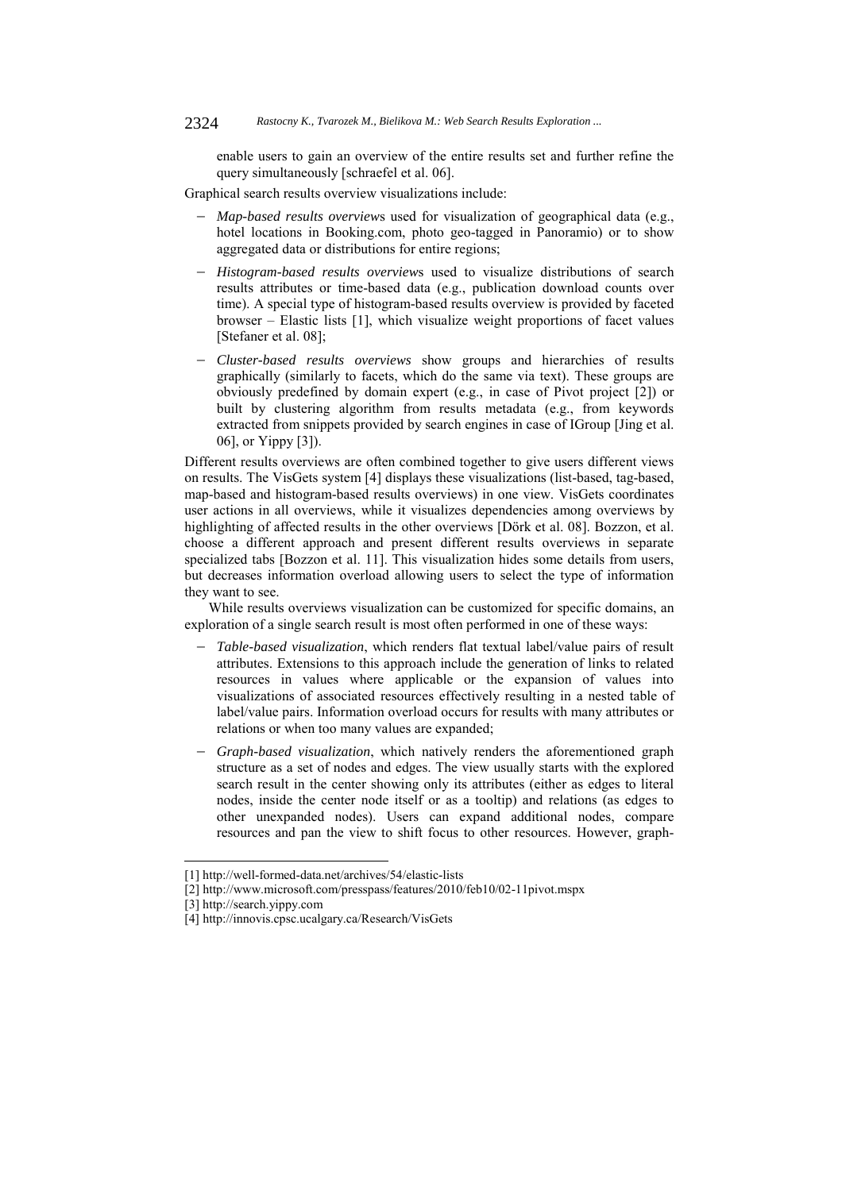enable users to gain an overview of the entire results set and further refine the query simultaneously [schraefel et al. 06].

Graphical search results overview visualizations include:

- *Map-based results overview*s used for visualization of geographical data (e.g., hotel locations in Booking.com, photo geo-tagged in Panoramio) or to show aggregated data or distributions for entire regions;
- *Histogram-based results overview*s used to visualize distributions of search results attributes or time-based data (e.g., publication download counts over time). A special type of histogram-based results overview is provided by faceted browser – Elastic lists [1], which visualize weight proportions of facet values [Stefaner et al. 08];
- *Cluster-based results overviews* show groups and hierarchies of results graphically (similarly to facets, which do the same via text). These groups are obviously predefined by domain expert (e.g., in case of Pivot project [2]) or built by clustering algorithm from results metadata (e.g., from keywords extracted from snippets provided by search engines in case of IGroup [Jing et al. 06], or Yippy [3]).

Different results overviews are often combined together to give users different views on results. The VisGets system [4] displays these visualizations (list-based, tag-based, map-based and histogram-based results overviews) in one view. VisGets coordinates user actions in all overviews, while it visualizes dependencies among overviews by highlighting of affected results in the other overviews [Dörk et al. 08]. Bozzon, et al. choose a different approach and present different results overviews in separate specialized tabs [Bozzon et al. 11]. This visualization hides some details from users, but decreases information overload allowing users to select the type of information they want to see.

While results overviews visualization can be customized for specific domains, an exploration of a single search result is most often performed in one of these ways:

- *Table-based visualization*, which renders flat textual label/value pairs of result attributes. Extensions to this approach include the generation of links to related resources in values where applicable or the expansion of values into visualizations of associated resources effectively resulting in a nested table of label/value pairs. Information overload occurs for results with many attributes or relations or when too many values are expanded;
- *Graph-based visualization*, which natively renders the aforementioned graph structure as a set of nodes and edges. The view usually starts with the explored search result in the center showing only its attributes (either as edges to literal nodes, inside the center node itself or as a tooltip) and relations (as edges to other unexpanded nodes). Users can expand additional nodes, compare resources and pan the view to shift focus to other resources. However, graph-

l

<sup>[1]</sup> http://well-formed-data.net/archives/54/elastic-lists

<sup>[2]</sup> http://www.microsoft.com/presspass/features/2010/feb10/02-11pivot.mspx

<sup>[3]</sup> http://search.yippy.com

<sup>[4]</sup> http://innovis.cpsc.ucalgary.ca/Research/VisGets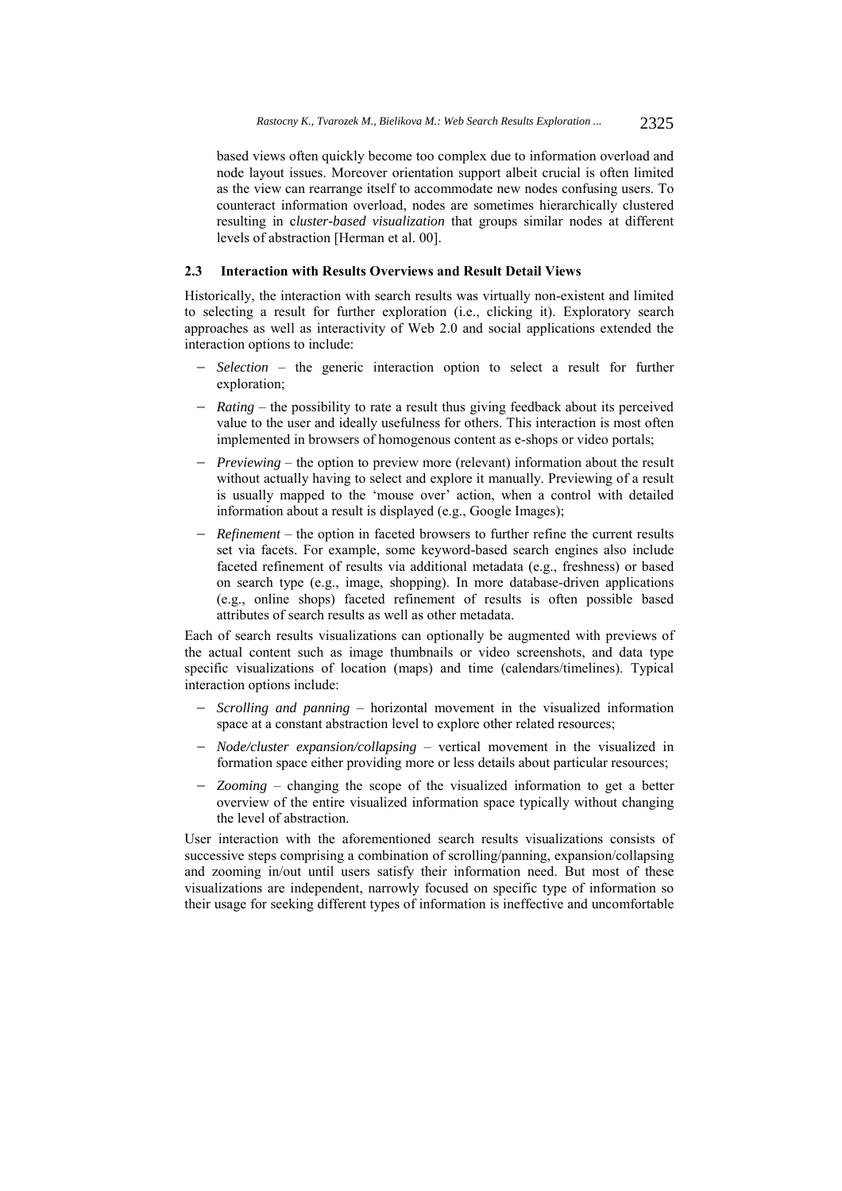based views often quickly become too complex due to information overload and node layout issues. Moreover orientation support albeit crucial is often limited as the view can rearrange itself to accommodate new nodes confusing users. To counteract information overload, nodes are sometimes hierarchically clustered resulting in c*luster-based visualization* that groups similar nodes at different levels of abstraction [Herman et al. 00].

## **2.3 Interaction with Results Overviews and Result Detail Views**

Historically, the interaction with search results was virtually non-existent and limited to selecting a result for further exploration (i.e., clicking it). Exploratory search approaches as well as interactivity of Web 2.0 and social applications extended the interaction options to include:

- *Selection* the generic interaction option to select a result for further exploration;
- *Rating* the possibility to rate a result thus giving feedback about its perceived value to the user and ideally usefulness for others. This interaction is most often implemented in browsers of homogenous content as e-shops or video portals;
- *Previewing* the option to preview more (relevant) information about the result without actually having to select and explore it manually. Previewing of a result is usually mapped to the 'mouse over' action, when a control with detailed information about a result is displayed (e.g., Google Images);
- *Refinement* the option in faceted browsers to further refine the current results set via facets. For example, some keyword-based search engines also include faceted refinement of results via additional metadata (e.g., freshness) or based on search type (e.g., image, shopping). In more database-driven applications (e.g., online shops) faceted refinement of results is often possible based attributes of search results as well as other metadata.

Each of search results visualizations can optionally be augmented with previews of the actual content such as image thumbnails or video screenshots, and data type specific visualizations of location (maps) and time (calendars/timelines). Typical interaction options include:

- *Scrolling and panning* horizontal movement in the visualized information space at a constant abstraction level to explore other related resources;
- *Node/cluster expansion/collapsing* vertical movement in the visualized in formation space either providing more or less details about particular resources;
- *Zooming* changing the scope of the visualized information to get a better overview of the entire visualized information space typically without changing the level of abstraction.

User interaction with the aforementioned search results visualizations consists of successive steps comprising a combination of scrolling/panning, expansion/collapsing and zooming in/out until users satisfy their information need. But most of these visualizations are independent, narrowly focused on specific type of information so their usage for seeking different types of information is ineffective and uncomfortable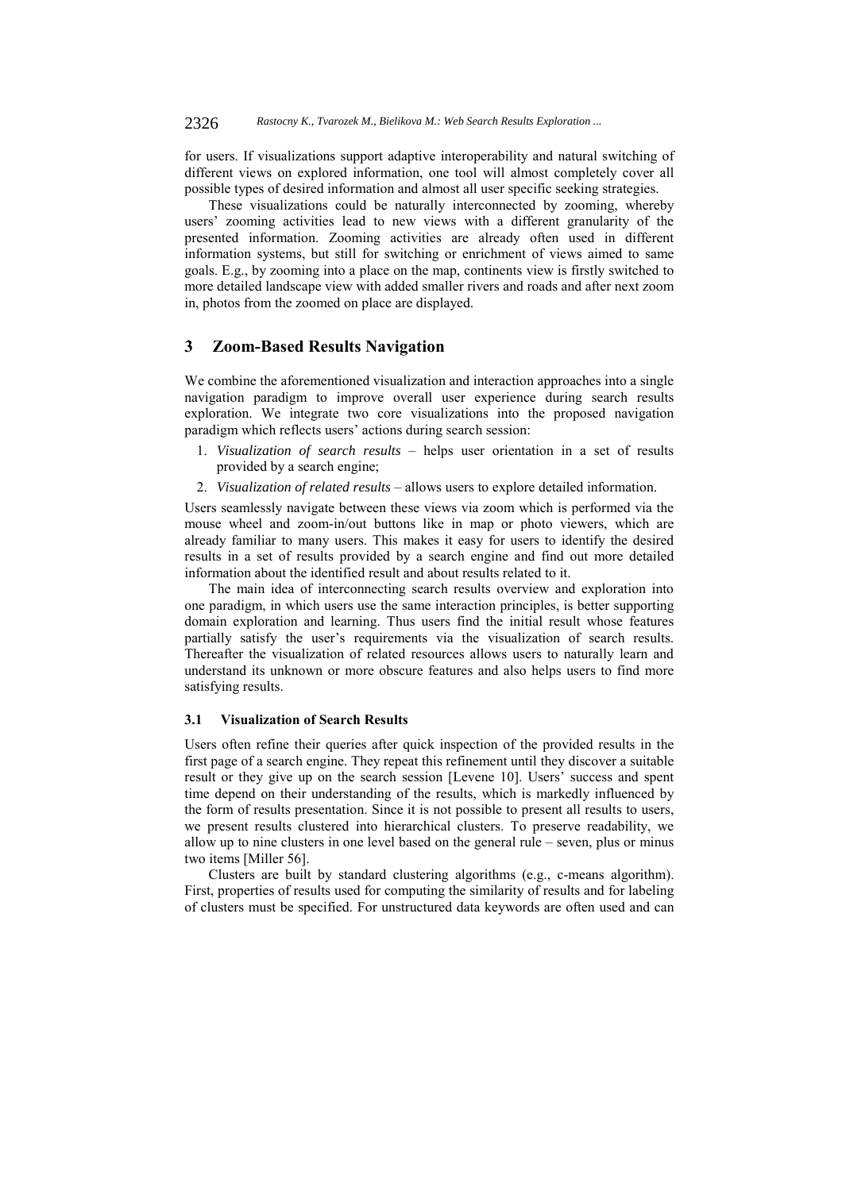for users. If visualizations support adaptive interoperability and natural switching of different views on explored information, one tool will almost completely cover all possible types of desired information and almost all user specific seeking strategies.

These visualizations could be naturally interconnected by zooming, whereby users' zooming activities lead to new views with a different granularity of the presented information. Zooming activities are already often used in different information systems, but still for switching or enrichment of views aimed to same goals. E.g., by zooming into a place on the map, continents view is firstly switched to more detailed landscape view with added smaller rivers and roads and after next zoom in, photos from the zoomed on place are displayed.

## **3 Zoom-Based Results Navigation**

We combine the aforementioned visualization and interaction approaches into a single navigation paradigm to improve overall user experience during search results exploration. We integrate two core visualizations into the proposed navigation paradigm which reflects users' actions during search session:

- 1. *Visualization of search results* helps user orientation in a set of results provided by a search engine;
- 2. *Visualization of related results* allows users to explore detailed information.

Users seamlessly navigate between these views via zoom which is performed via the mouse wheel and zoom-in/out buttons like in map or photo viewers, which are already familiar to many users. This makes it easy for users to identify the desired results in a set of results provided by a search engine and find out more detailed information about the identified result and about results related to it.

The main idea of interconnecting search results overview and exploration into one paradigm, in which users use the same interaction principles, is better supporting domain exploration and learning. Thus users find the initial result whose features partially satisfy the user's requirements via the visualization of search results. Thereafter the visualization of related resources allows users to naturally learn and understand its unknown or more obscure features and also helps users to find more satisfying results.

## **3.1 Visualization of Search Results**

Users often refine their queries after quick inspection of the provided results in the first page of a search engine. They repeat this refinement until they discover a suitable result or they give up on the search session [Levene 10]. Users' success and spent time depend on their understanding of the results, which is markedly influenced by the form of results presentation. Since it is not possible to present all results to users, we present results clustered into hierarchical clusters. To preserve readability, we allow up to nine clusters in one level based on the general rule – seven, plus or minus two items [Miller 56].

Clusters are built by standard clustering algorithms (e.g., c-means algorithm). First, properties of results used for computing the similarity of results and for labeling of clusters must be specified. For unstructured data keywords are often used and can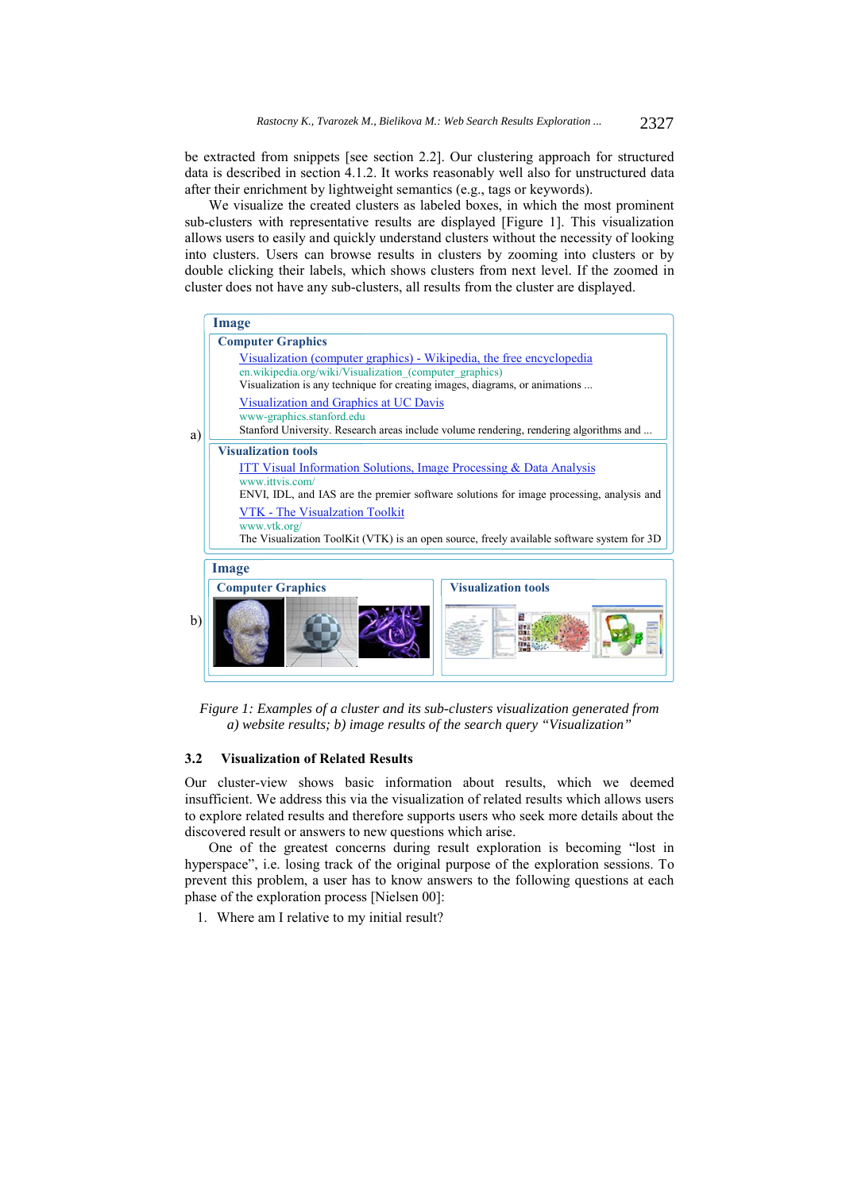be extracted from snippets [see section 2.2]. Our clustering approach for structured data is described in section 4.1.2. It works reasonably well also for unstructured data after their enrichment by lightweight semantics (e.g., tags or keywords).

We visualize the created clusters as labeled boxes, in which the most prominent sub-clusters with representative results are displayed [Figure 1]. This visualization allows users to easily and quickly understand clusters without the necessity of looking into clusters. Users can browse results in clusters by zooming into clusters or by double clicking their labels, which shows clusters from next level. If the zoomed in cluster does not have any sub-clusters, all results from the cluster are displayed.



*Figure 1: Examples of a cluster and its sub-clusters visualization generated from a) website results; b) image results of the search query "Visualization"* 

#### **3.2 Visualization of Related Results**

Our cluster-view shows basic information about results, which we deemed insufficient. We address this via the visualization of related results which allows users to explore related results and therefore supports users who seek more details about the discovered result or answers to new questions which arise.

One of the greatest concerns during result exploration is becoming "lost in hyperspace", i.e. losing track of the original purpose of the exploration sessions. To prevent this problem, a user has to know answers to the following questions at each phase of the exploration process [Nielsen 00]:

1. Where am I relative to my initial result?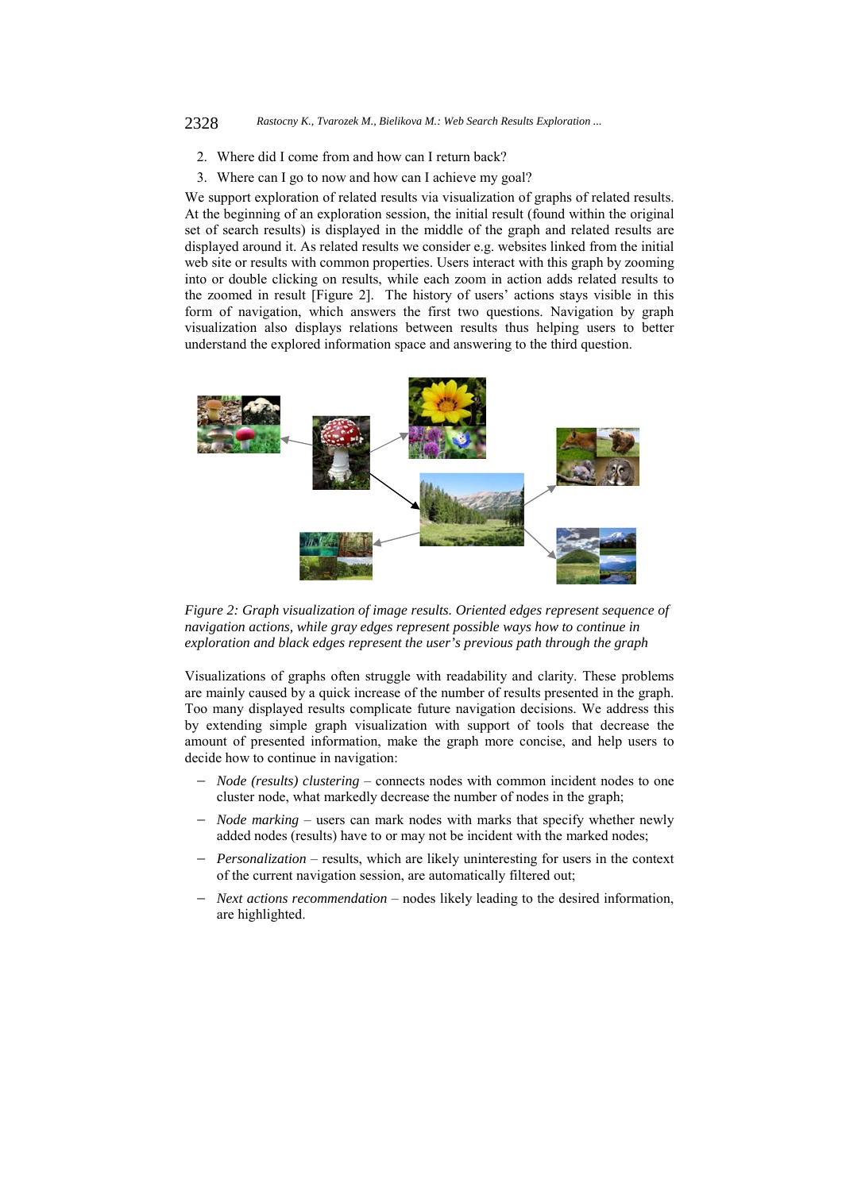#### 2328 *Rastocny K., Tvarozek M., Bielikova M.: Web Search Results Exploration ...*

- 2. Where did I come from and how can I return back?
- 3. Where can I go to now and how can I achieve my goal?

We support exploration of related results via visualization of graphs of related results. At the beginning of an exploration session, the initial result (found within the original set of search results) is displayed in the middle of the graph and related results are displayed around it. As related results we consider e.g. websites linked from the initial web site or results with common properties. Users interact with this graph by zooming into or double clicking on results, while each zoom in action adds related results to the zoomed in result [Figure 2]. The history of users' actions stays visible in this form of navigation, which answers the first two questions. Navigation by graph visualization also displays relations between results thus helping users to better understand the explored information space and answering to the third question.



*Figure 2: Graph visualization of image results. Oriented edges represent sequence of navigation actions, while gray edges represent possible ways how to continue in exploration and black edges represent the user's previous path through the graph* 

Visualizations of graphs often struggle with readability and clarity. These problems are mainly caused by a quick increase of the number of results presented in the graph. Too many displayed results complicate future navigation decisions. We address this by extending simple graph visualization with support of tools that decrease the amount of presented information, make the graph more concise, and help users to decide how to continue in navigation:

- *Node (results) clustering* connects nodes with common incident nodes to one cluster node, what markedly decrease the number of nodes in the graph;
- *Node marking* users can mark nodes with marks that specify whether newly added nodes (results) have to or may not be incident with the marked nodes;
- *Personalization* results, which are likely uninteresting for users in the context of the current navigation session, are automatically filtered out;
- *Next actions recommendation* nodes likely leading to the desired information, are highlighted.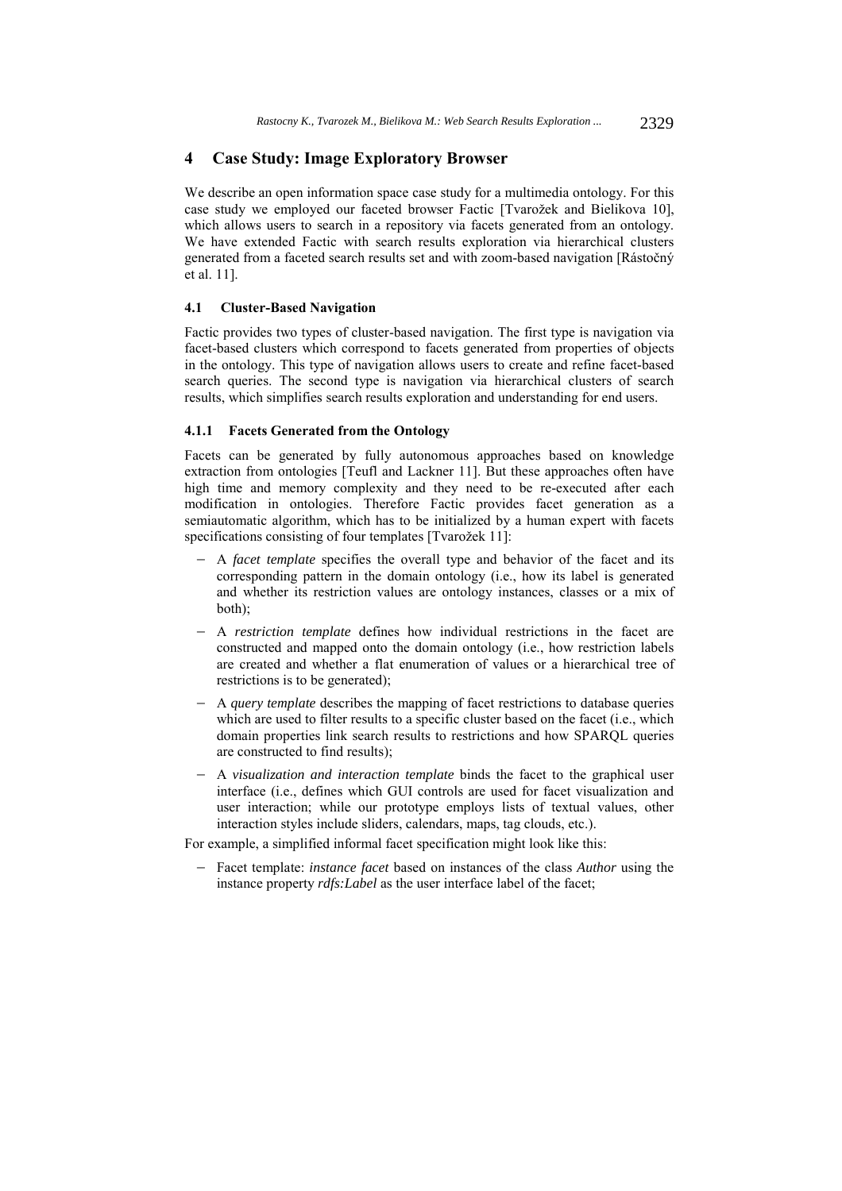## **4 Case Study: Image Exploratory Browser**

We describe an open information space case study for a multimedia ontology. For this case study we employed our faceted browser Factic [Tvarožek and Bielikova 10], which allows users to search in a repository via facets generated from an ontology. We have extended Factic with search results exploration via hierarchical clusters generated from a faceted search results set and with zoom-based navigation [Rástočný et al. 11].

## **4.1 Cluster-Based Navigation**

Factic provides two types of cluster-based navigation. The first type is navigation via facet-based clusters which correspond to facets generated from properties of objects in the ontology. This type of navigation allows users to create and refine facet-based search queries. The second type is navigation via hierarchical clusters of search results, which simplifies search results exploration and understanding for end users.

#### **4.1.1 Facets Generated from the Ontology**

Facets can be generated by fully autonomous approaches based on knowledge extraction from ontologies [Teufl and Lackner 11]. But these approaches often have high time and memory complexity and they need to be re-executed after each modification in ontologies. Therefore Factic provides facet generation as a semiautomatic algorithm, which has to be initialized by a human expert with facets specifications consisting of four templates [Tvarožek 11]:

- A *facet template* specifies the overall type and behavior of the facet and its corresponding pattern in the domain ontology (i.e., how its label is generated and whether its restriction values are ontology instances, classes or a mix of both);
- A *restriction template* defines how individual restrictions in the facet are constructed and mapped onto the domain ontology (i.e., how restriction labels are created and whether a flat enumeration of values or a hierarchical tree of restrictions is to be generated);
- A *query template* describes the mapping of facet restrictions to database queries which are used to filter results to a specific cluster based on the facet (i.e., which domain properties link search results to restrictions and how SPARQL queries are constructed to find results);
- A *visualization and interaction template* binds the facet to the graphical user interface (i.e., defines which GUI controls are used for facet visualization and user interaction; while our prototype employs lists of textual values, other interaction styles include sliders, calendars, maps, tag clouds, etc.).

For example, a simplified informal facet specification might look like this:

 Facet template: *instance facet* based on instances of the class *Author* using the instance property *rdfs:Label* as the user interface label of the facet;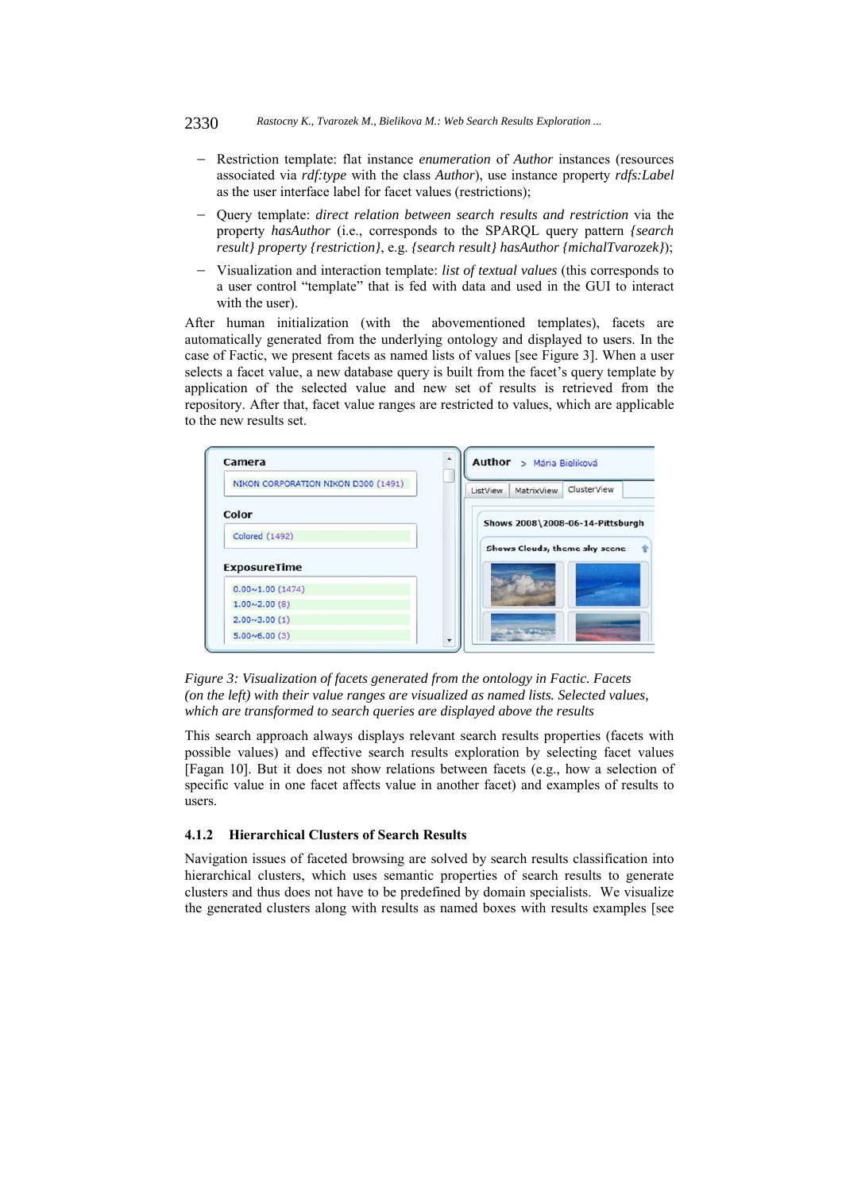- Restriction template: flat instance *enumeration* of *Author* instances (resources associated via *rdf:type* with the class *Author*), use instance property *rdfs:Label*  as the user interface label for facet values (restrictions);
- Query template: *direct relation between search results and restriction* via the property *hasAuthor* (i.e., corresponds to the SPARQL query pattern *{search result} property {restriction}*, e.g. *{search result} hasAuthor {michalTvarozek}*);
- Visualization and interaction template: *list of textual values* (this corresponds to a user control "template" that is fed with data and used in the GUI to interact with the user).

After human initialization (with the abovementioned templates), facets are automatically generated from the underlying ontology and displayed to users. In the case of Factic, we present facets as named lists of values [see Figure 3]. When a user selects a facet value, a new database query is built from the facet's query template by application of the selected value and new set of results is retrieved from the repository. After that, facet value ranges are restricted to values, which are applicable to the new results set.





This search approach always displays relevant search results properties (facets with possible values) and effective search results exploration by selecting facet values [Fagan 10]. But it does not show relations between facets (e.g., how a selection of specific value in one facet affects value in another facet) and examples of results to users.

## **4.1.2 Hierarchical Clusters of Search Results**

Navigation issues of faceted browsing are solved by search results classification into hierarchical clusters, which uses semantic properties of search results to generate clusters and thus does not have to be predefined by domain specialists. We visualize the generated clusters along with results as named boxes with results examples [see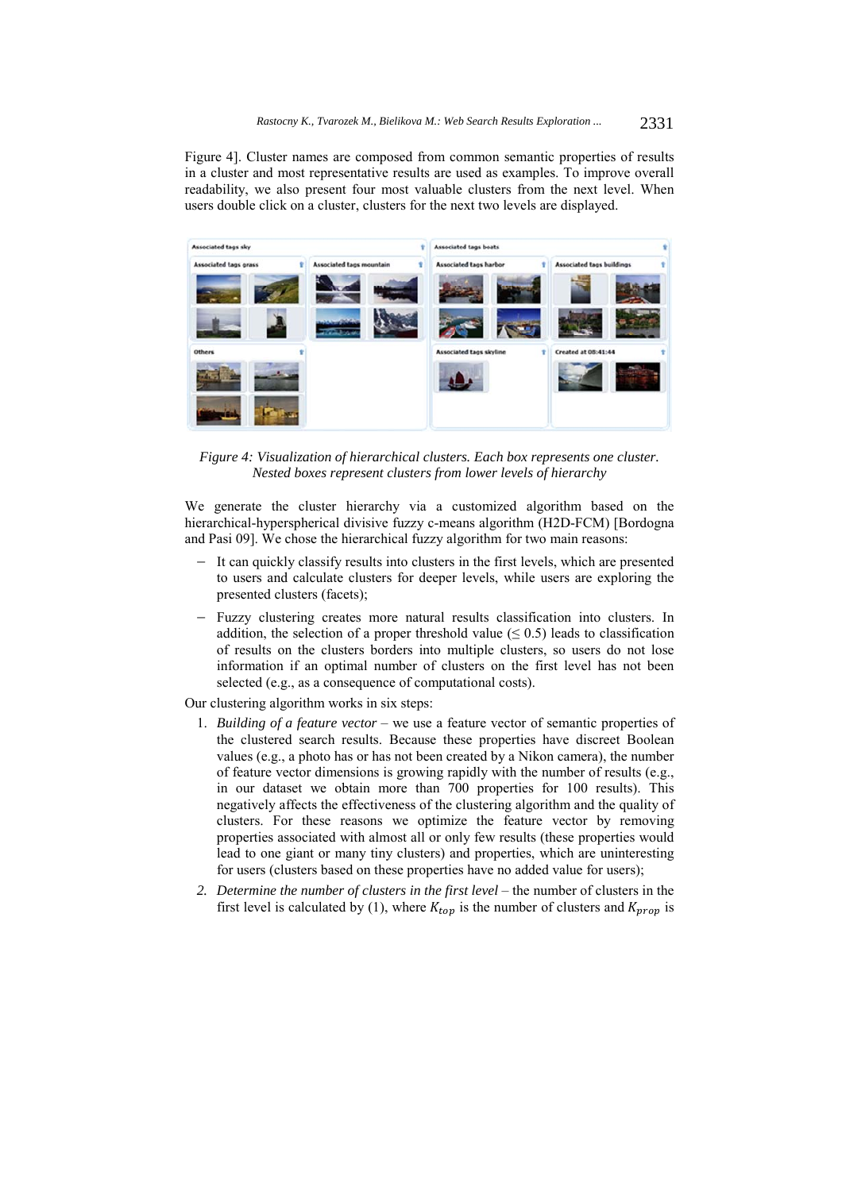Figure 4]. Cluster names are composed from common semantic properties of results in a cluster and most representative results are used as examples. To improve overall readability, we also present four most valuable clusters from the next level. When users double click on a cluster, clusters for the next two levels are displayed.



*Figure 4: Visualization of hierarchical clusters. Each box represents one cluster. Nested boxes represent clusters from lower levels of hierarchy* 

We generate the cluster hierarchy via a customized algorithm based on the hierarchical-hyperspherical divisive fuzzy c-means algorithm (H2D-FCM) [Bordogna and Pasi 09]. We chose the hierarchical fuzzy algorithm for two main reasons:

- It can quickly classify results into clusters in the first levels, which are presented to users and calculate clusters for deeper levels, while users are exploring the presented clusters (facets);
- Fuzzy clustering creates more natural results classification into clusters. In addition, the selection of a proper threshold value  $(\leq 0.5)$  leads to classification of results on the clusters borders into multiple clusters, so users do not lose information if an optimal number of clusters on the first level has not been selected (e.g., as a consequence of computational costs).

Our clustering algorithm works in six steps:

- 1. *Building of a feature vector* we use a feature vector of semantic properties of the clustered search results. Because these properties have discreet Boolean values (e.g., a photo has or has not been created by a Nikon camera), the number of feature vector dimensions is growing rapidly with the number of results (e.g., in our dataset we obtain more than 700 properties for 100 results). This negatively affects the effectiveness of the clustering algorithm and the quality of clusters. For these reasons we optimize the feature vector by removing properties associated with almost all or only few results (these properties would lead to one giant or many tiny clusters) and properties, which are uninteresting for users (clusters based on these properties have no added value for users);
- *2. Determine the number of clusters in the first level* the number of clusters in the first level is calculated by (1), where  $K_{top}$  is the number of clusters and  $K_{prop}$  is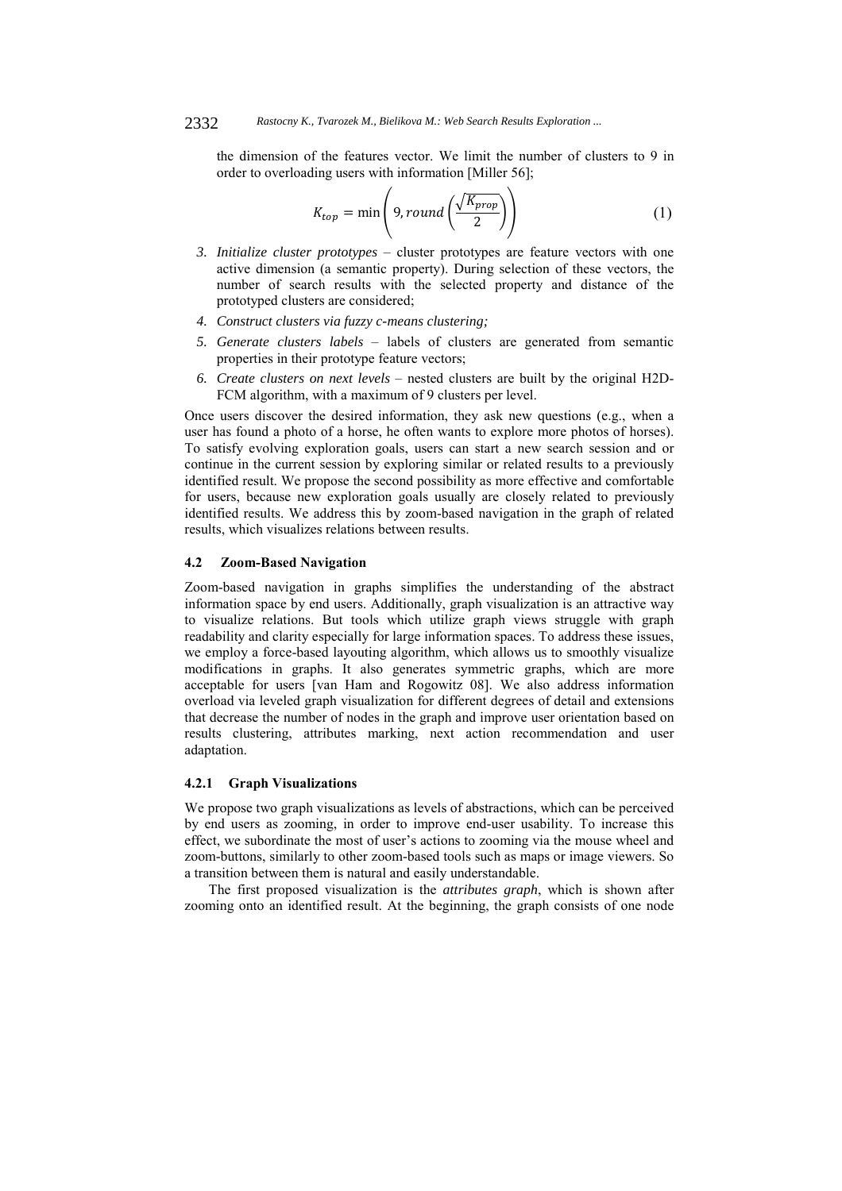the dimension of the features vector. We limit the number of clusters to 9 in order to overloading users with information [Miller 56];

$$
K_{top} = \min\left(9, round\left(\frac{\sqrt{K_{prop}}}{2}\right)\right) \tag{1}
$$

- *3. Initialize cluster prototypes* cluster prototypes are feature vectors with one active dimension (a semantic property). During selection of these vectors, the number of search results with the selected property and distance of the prototyped clusters are considered;
- *4. Construct clusters via fuzzy c-means clustering;*
- *5. Generate clusters labels* labels of clusters are generated from semantic properties in their prototype feature vectors;
- *6. Create clusters on next levels* nested clusters are built by the original H2D-FCM algorithm, with a maximum of 9 clusters per level.

Once users discover the desired information, they ask new questions (e.g., when a user has found a photo of a horse, he often wants to explore more photos of horses). To satisfy evolving exploration goals, users can start a new search session and or continue in the current session by exploring similar or related results to a previously identified result. We propose the second possibility as more effective and comfortable for users, because new exploration goals usually are closely related to previously identified results. We address this by zoom-based navigation in the graph of related results, which visualizes relations between results.

#### **4.2 Zoom-Based Navigation**

Zoom-based navigation in graphs simplifies the understanding of the abstract information space by end users. Additionally, graph visualization is an attractive way to visualize relations. But tools which utilize graph views struggle with graph readability and clarity especially for large information spaces. To address these issues, we employ a force-based layouting algorithm, which allows us to smoothly visualize modifications in graphs. It also generates symmetric graphs, which are more acceptable for users [van Ham and Rogowitz 08]. We also address information overload via leveled graph visualization for different degrees of detail and extensions that decrease the number of nodes in the graph and improve user orientation based on results clustering, attributes marking, next action recommendation and user adaptation.

## **4.2.1 Graph Visualizations**

We propose two graph visualizations as levels of abstractions, which can be perceived by end users as zooming, in order to improve end-user usability. To increase this effect, we subordinate the most of user's actions to zooming via the mouse wheel and zoom-buttons, similarly to other zoom-based tools such as maps or image viewers. So a transition between them is natural and easily understandable.

The first proposed visualization is the *attributes graph*, which is shown after zooming onto an identified result. At the beginning, the graph consists of one node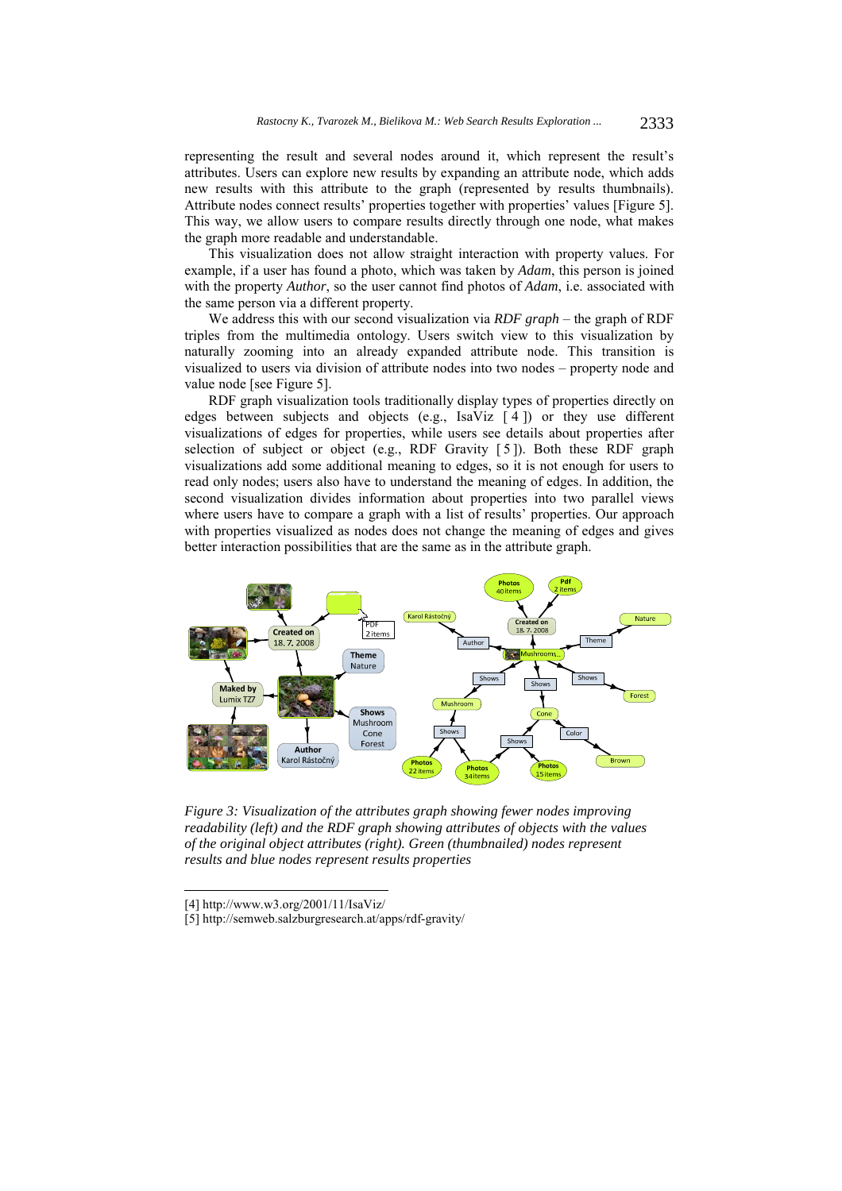representing the result and several nodes around it, which represent the result's attributes. Users can explore new results by expanding an attribute node, which adds new results with this attribute to the graph (represented by results thumbnails). Attribute nodes connect results' properties together with properties' values [Figure 5]. This way, we allow users to compare results directly through one node, what makes the graph more readable and understandable.

This visualization does not allow straight interaction with property values. For example, if a user has found a photo, which was taken by *Adam*, this person is joined with the property *Author*, so the user cannot find photos of *Adam*, i.e. associated with the same person via a different property.

We address this with our second visualization via *RDF graph* – the graph of RDF triples from the multimedia ontology. Users switch view to this visualization by naturally zooming into an already expanded attribute node. This transition is visualized to users via division of attribute nodes into two nodes – property node and value node [see Figure 5].

RDF graph visualization tools traditionally display types of properties directly on edges between subjects and objects (e.g., IsaViz  $\lceil 4 \rceil$ ) or they use different visualizations of edges for properties, while users see details about properties after selection of subject or object (e.g., RDF Gravity [5]). Both these RDF graph visualizations add some additional meaning to edges, so it is not enough for users to read only nodes; users also have to understand the meaning of edges. In addition, the second visualization divides information about properties into two parallel views where users have to compare a graph with a list of results' properties. Our approach with properties visualized as nodes does not change the meaning of edges and gives better interaction possibilities that are the same as in the attribute graph.



*Figure 3: Visualization of the attributes graph showing fewer nodes improving readability (left) and the RDF graph showing attributes of objects with the values of the original object attributes (right). Green (thumbnailed) nodes represent results and blue nodes represent results properties* 

l

<sup>[4]</sup> http://www.w3.org/2001/11/IsaViz/

<sup>[5]</sup> http://semweb.salzburgresearch.at/apps/rdf-gravity/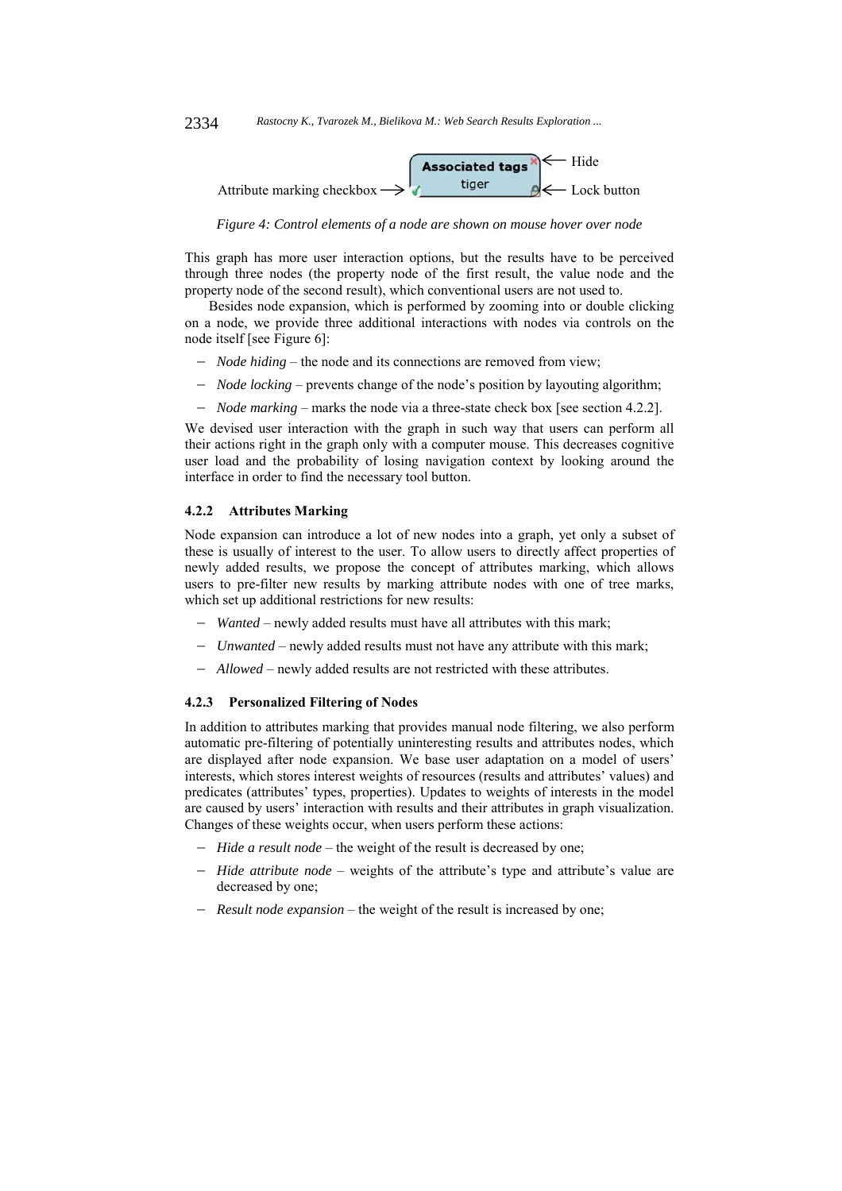

*Figure 4: Control elements of a node are shown on mouse hover over node* 

This graph has more user interaction options, but the results have to be perceived through three nodes (the property node of the first result, the value node and the property node of the second result), which conventional users are not used to.

Besides node expansion, which is performed by zooming into or double clicking on a node, we provide three additional interactions with nodes via controls on the node itself [see Figure 6]:

- *Node hiding* the node and its connections are removed from view;
- *Node locking* prevents change of the node's position by layouting algorithm;
- *Node marking* marks the node via a three-state check box [see section 4.2.2].

We devised user interaction with the graph in such way that users can perform all their actions right in the graph only with a computer mouse. This decreases cognitive user load and the probability of losing navigation context by looking around the interface in order to find the necessary tool button.

#### **4.2.2 Attributes Marking**

Node expansion can introduce a lot of new nodes into a graph, yet only a subset of these is usually of interest to the user. To allow users to directly affect properties of newly added results, we propose the concept of attributes marking, which allows users to pre-filter new results by marking attribute nodes with one of tree marks, which set up additional restrictions for new results:

- *Wanted* newly added results must have all attributes with this mark;
- *Unwanted* newly added results must not have any attribute with this mark;
- *Allowed* newly added results are not restricted with these attributes.

## **4.2.3 Personalized Filtering of Nodes**

In addition to attributes marking that provides manual node filtering, we also perform automatic pre-filtering of potentially uninteresting results and attributes nodes, which are displayed after node expansion. We base user adaptation on a model of users' interests, which stores interest weights of resources (results and attributes' values) and predicates (attributes' types, properties). Updates to weights of interests in the model are caused by users' interaction with results and their attributes in graph visualization. Changes of these weights occur, when users perform these actions:

- *Hide a result node* the weight of the result is decreased by one;
- *Hide attribute node* weights of the attribute's type and attribute's value are decreased by one;
- *Result node expansion* the weight of the result is increased by one;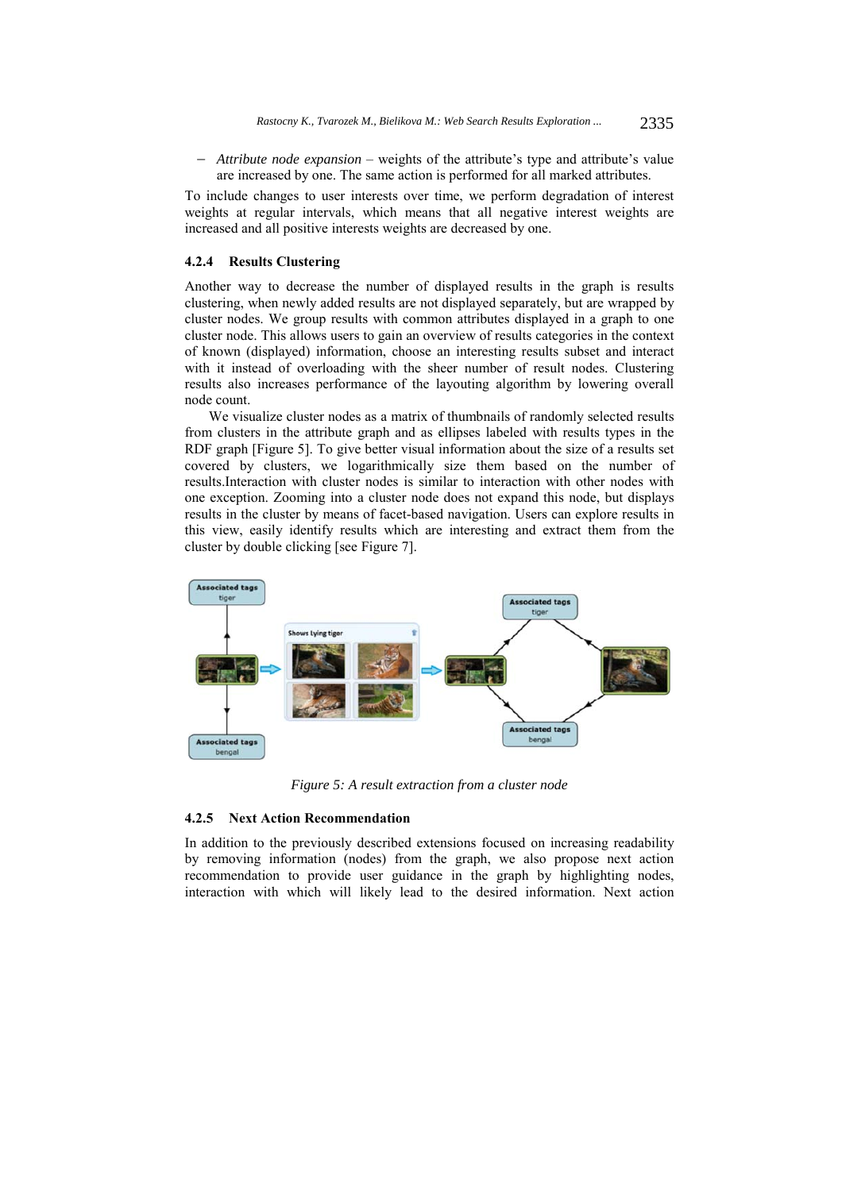*Attribute node expansion* – weights of the attribute's type and attribute's value are increased by one. The same action is performed for all marked attributes.

To include changes to user interests over time, we perform degradation of interest weights at regular intervals, which means that all negative interest weights are increased and all positive interests weights are decreased by one.

### **4.2.4 Results Clustering**

Another way to decrease the number of displayed results in the graph is results clustering, when newly added results are not displayed separately, but are wrapped by cluster nodes. We group results with common attributes displayed in a graph to one cluster node. This allows users to gain an overview of results categories in the context of known (displayed) information, choose an interesting results subset and interact with it instead of overloading with the sheer number of result nodes. Clustering results also increases performance of the layouting algorithm by lowering overall node count.

We visualize cluster nodes as a matrix of thumbnails of randomly selected results from clusters in the attribute graph and as ellipses labeled with results types in the RDF graph [Figure 5]. To give better visual information about the size of a results set covered by clusters, we logarithmically size them based on the number of results.Interaction with cluster nodes is similar to interaction with other nodes with one exception. Zooming into a cluster node does not expand this node, but displays results in the cluster by means of facet-based navigation. Users can explore results in this view, easily identify results which are interesting and extract them from the cluster by double clicking [see Figure 7].



*Figure 5: A result extraction from a cluster node* 

### **4.2.5 Next Action Recommendation**

In addition to the previously described extensions focused on increasing readability by removing information (nodes) from the graph, we also propose next action recommendation to provide user guidance in the graph by highlighting nodes, interaction with which will likely lead to the desired information. Next action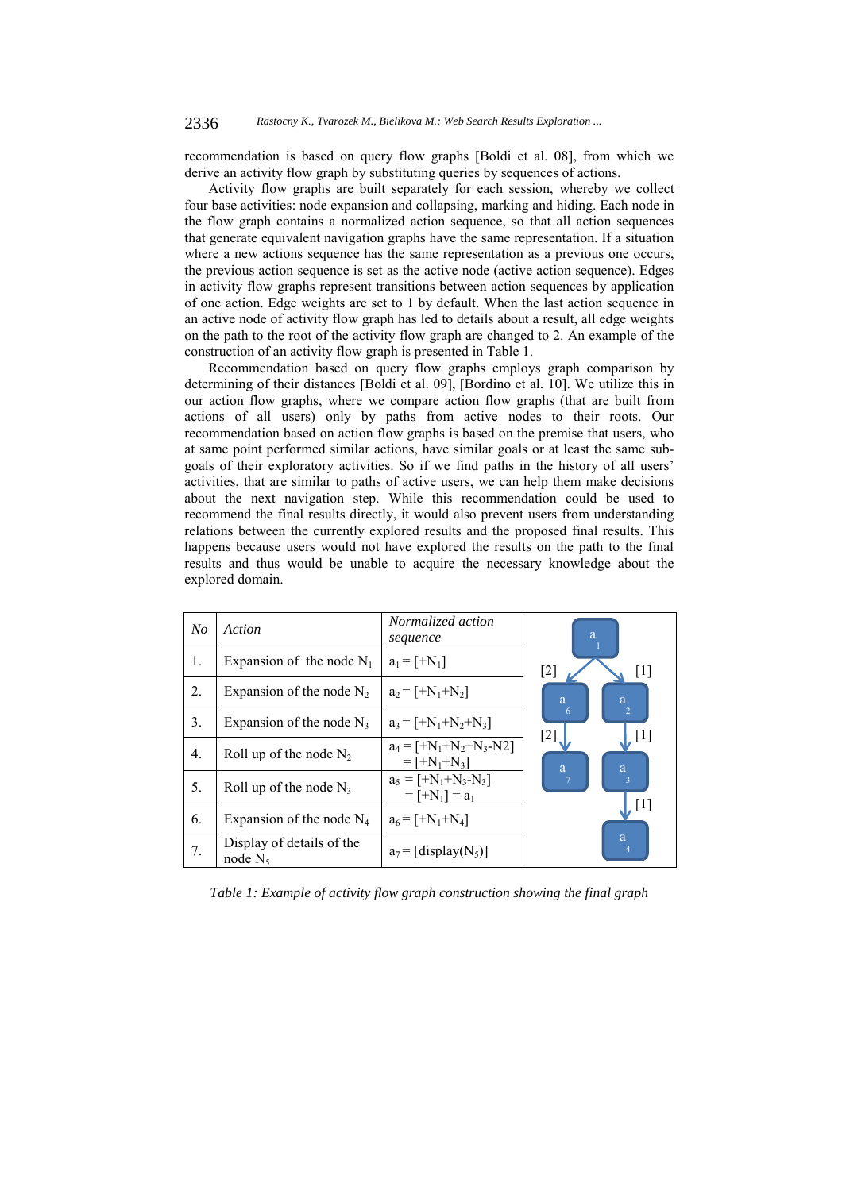recommendation is based on query flow graphs [Boldi et al. 08], from which we derive an activity flow graph by substituting queries by sequences of actions.

Activity flow graphs are built separately for each session, whereby we collect four base activities: node expansion and collapsing, marking and hiding. Each node in the flow graph contains a normalized action sequence, so that all action sequences that generate equivalent navigation graphs have the same representation. If a situation where a new actions sequence has the same representation as a previous one occurs, the previous action sequence is set as the active node (active action sequence). Edges in activity flow graphs represent transitions between action sequences by application of one action. Edge weights are set to 1 by default. When the last action sequence in an active node of activity flow graph has led to details about a result, all edge weights on the path to the root of the activity flow graph are changed to 2. An example of the construction of an activity flow graph is presented in Table 1.

Recommendation based on query flow graphs employs graph comparison by determining of their distances [Boldi et al. 09], [Bordino et al. 10]. We utilize this in our action flow graphs, where we compare action flow graphs (that are built from actions of all users) only by paths from active nodes to their roots. Our recommendation based on action flow graphs is based on the premise that users, who at same point performed similar actions, have similar goals or at least the same subgoals of their exploratory activities. So if we find paths in the history of all users' activities, that are similar to paths of active users, we can help them make decisions about the next navigation step. While this recommendation could be used to recommend the final results directly, it would also prevent users from understanding relations between the currently explored results and the proposed final results. This happens because users would not have explored the results on the path to the final results and thus would be unable to acquire the necessary knowledge about the explored domain.

| N <sub>O</sub>   | Action                                  | Normalized action<br>sequence                                             | a                                 |
|------------------|-----------------------------------------|---------------------------------------------------------------------------|-----------------------------------|
| 1.               | Expansion of the node $N_1$             | $a_1 = [+N_1]$                                                            | $[2]$<br>$[1]$                    |
| 2.               | Expansion of the node $N_2$             | $a_2 = [+N_1 + N_2]$                                                      | a<br>a                            |
| 3.               | Expansion of the node $N_3$             | $a_3 = [+N_1 + N_2 + N_3]$                                                | $\overline{2}$<br>6<br>[2]        |
| $\overline{4}$ . | Roll up of the node $N_2$               | $a_4 = [+N_1 + N_2 + N_3 - N2]$<br>$=$ [+N <sub>1</sub> +N <sub>3</sub> ] | $\lfloor \cdot \rfloor$<br>a<br>a |
| 5.               | Roll up of the node $N_3$               | $a_5 = [+N_1 + N_3 - N_3]$<br>$=$ [+N <sub>1</sub> ] = $a_1$              | $\overline{3}$                    |
| 6.               | Expansion of the node $N_4$             | $a_6 = [+N_1 + N_4]$                                                      | $\mathbf{J}^{[1]}$                |
| 7.               | Display of details of the<br>node $N_5$ | $a_7$ = [display(N <sub>5</sub> )]                                        | a                                 |

*Table 1: Example of activity flow graph construction showing the final graph*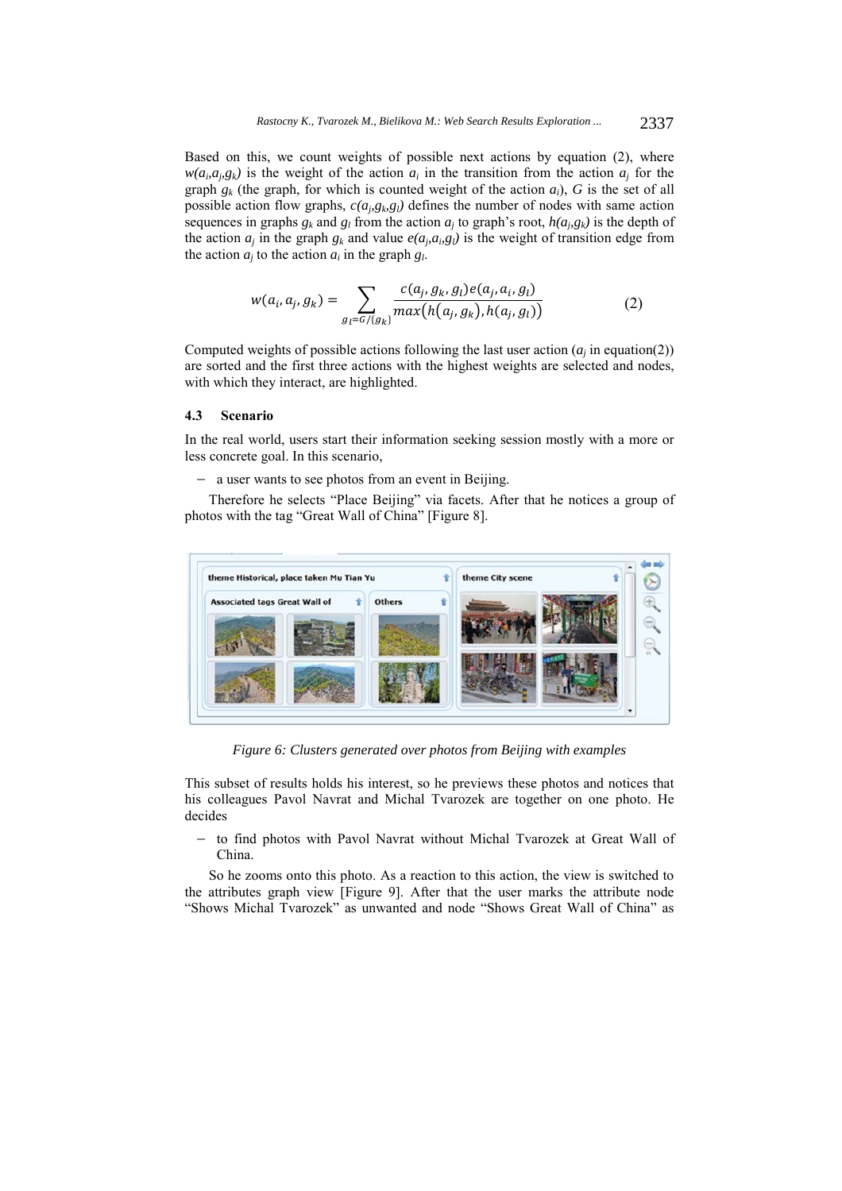Based on this, we count weights of possible next actions by equation (2), where  $w(a_i, a_j, g_k)$  is the weight of the action  $a_i$  in the transition from the action  $a_j$  for the graph  $g_k$  (the graph, for which is counted weight of the action  $a_i$ ), G is the set of all possible action flow graphs,  $c(a_i, g_i, g_j)$  defines the number of nodes with same action sequences in graphs  $g_k$  and  $g_l$  from the action  $a_i$  to graph's root,  $h(a_i, g_k)$  is the depth of the action  $a_j$  in the graph  $g_k$  and value  $e(a_j, a_j, g_l)$  is the weight of transition edge from the action  $a_i$  to the action  $a_i$  in the graph  $g_i$ .

$$
w(a_i, a_j, g_k) = \sum_{g_l = G / \{g_k\}} \frac{c(a_j, g_k, g_l) e(a_j, a_i, g_l)}{\max(h(a_j, g_k), h(a_j, g_l))}
$$
(2)

Computed weights of possible actions following the last user action  $(a_i \text{ in equation}(2))$ are sorted and the first three actions with the highest weights are selected and nodes, with which they interact, are highlighted.

### **4.3 Scenario**

In the real world, users start their information seeking session mostly with a more or less concrete goal. In this scenario,

 $-$  a user wants to see photos from an event in Beijing.

Therefore he selects "Place Beijing" via facets. After that he notices a group of photos with the tag "Great Wall of China" [Figure 8].



*Figure 6: Clusters generated over photos from Beijing with examples* 

This subset of results holds his interest, so he previews these photos and notices that his colleagues Pavol Navrat and Michal Tvarozek are together on one photo. He decides

- to find photos with Pavol Navrat without Michal Tvarozek at Great Wall of China.

So he zooms onto this photo. As a reaction to this action, the view is switched to the attributes graph view [Figure 9]. After that the user marks the attribute node "Shows Michal Tvarozek" as unwanted and node "Shows Great Wall of China" as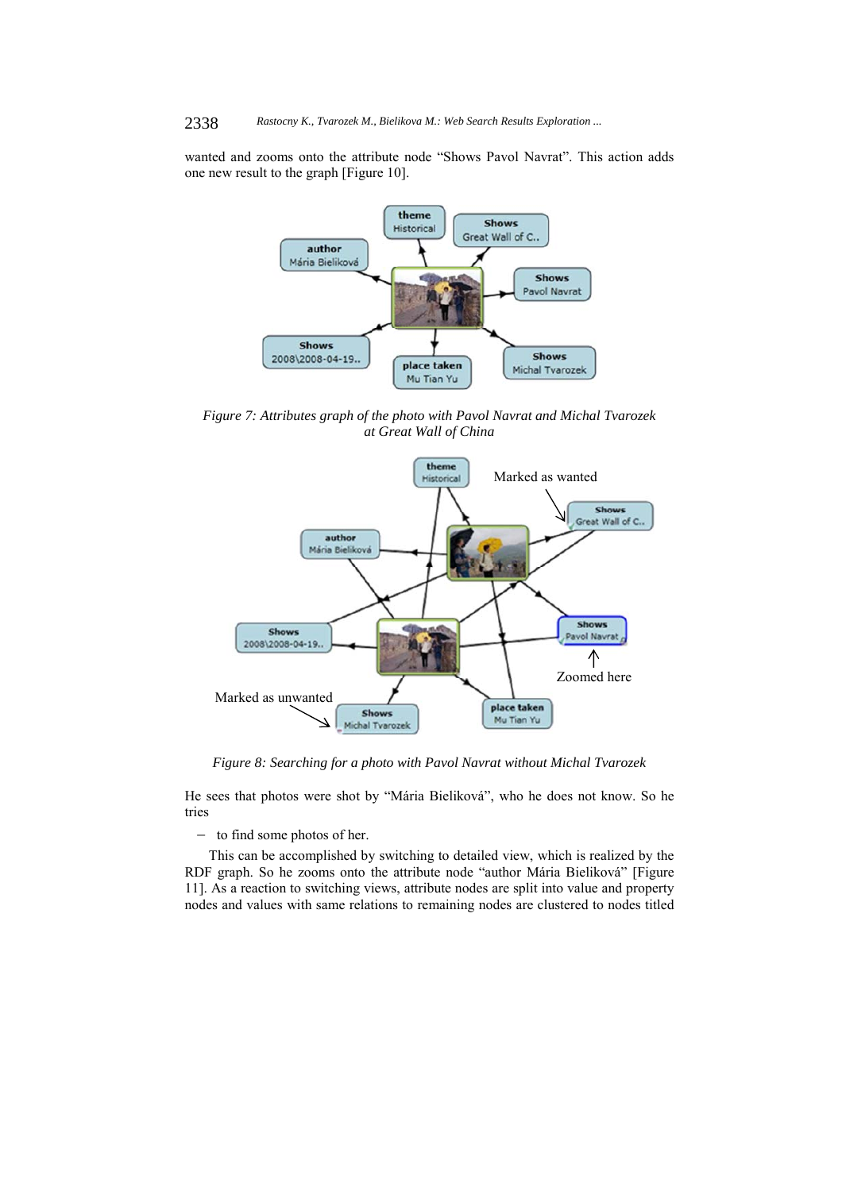#### 2338 *Rastocny K., Tvarozek M., Bielikova M.: Web Search Results Exploration ...*

wanted and zooms onto the attribute node "Shows Pavol Navrat". This action adds one new result to the graph [Figure 10].



*Figure 7: Attributes graph of the photo with Pavol Navrat and Michal Tvarozek at Great Wall of China* 



*Figure 8: Searching for a photo with Pavol Navrat without Michal Tvarozek* 

He sees that photos were shot by "Mária Bieliková", who he does not know. So he tries

 $-$  to find some photos of her.

This can be accomplished by switching to detailed view, which is realized by the RDF graph. So he zooms onto the attribute node "author Mária Bieliková" [Figure 11]. As a reaction to switching views, attribute nodes are split into value and property nodes and values with same relations to remaining nodes are clustered to nodes titled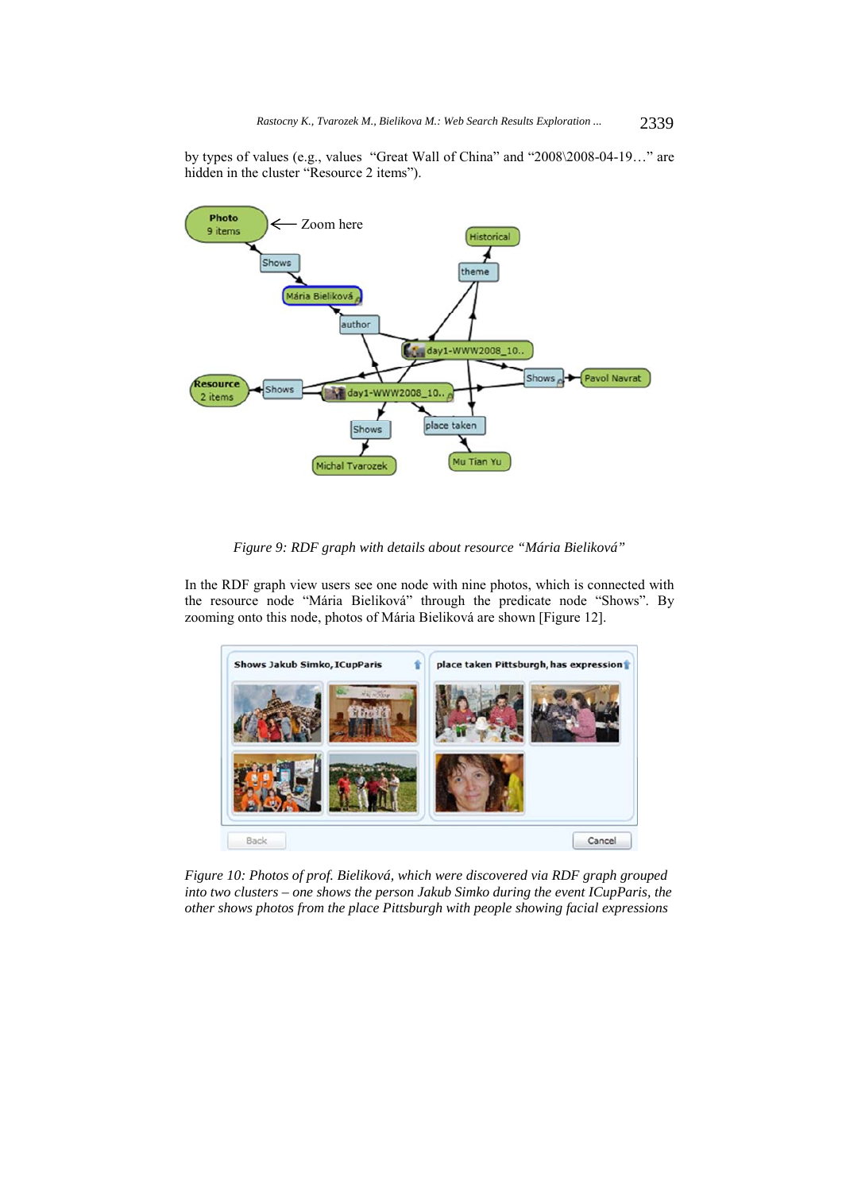by types of values (e.g., values "Great Wall of China" and "2008\2008-04-19…" are hidden in the cluster "Resource 2 items").



*Figure 9: RDF graph with details about resource "Mária Bieliková"* 

In the RDF graph view users see one node with nine photos, which is connected with the resource node "Mária Bieliková" through the predicate node "Shows". By zooming onto this node, photos of Mária Bieliková are shown [Figure 12].



*Figure 10: Photos of prof. Bieliková, which were discovered via RDF graph grouped into two clusters – one shows the person Jakub Simko during the event ICupParis, the other shows photos from the place Pittsburgh with people showing facial expressions*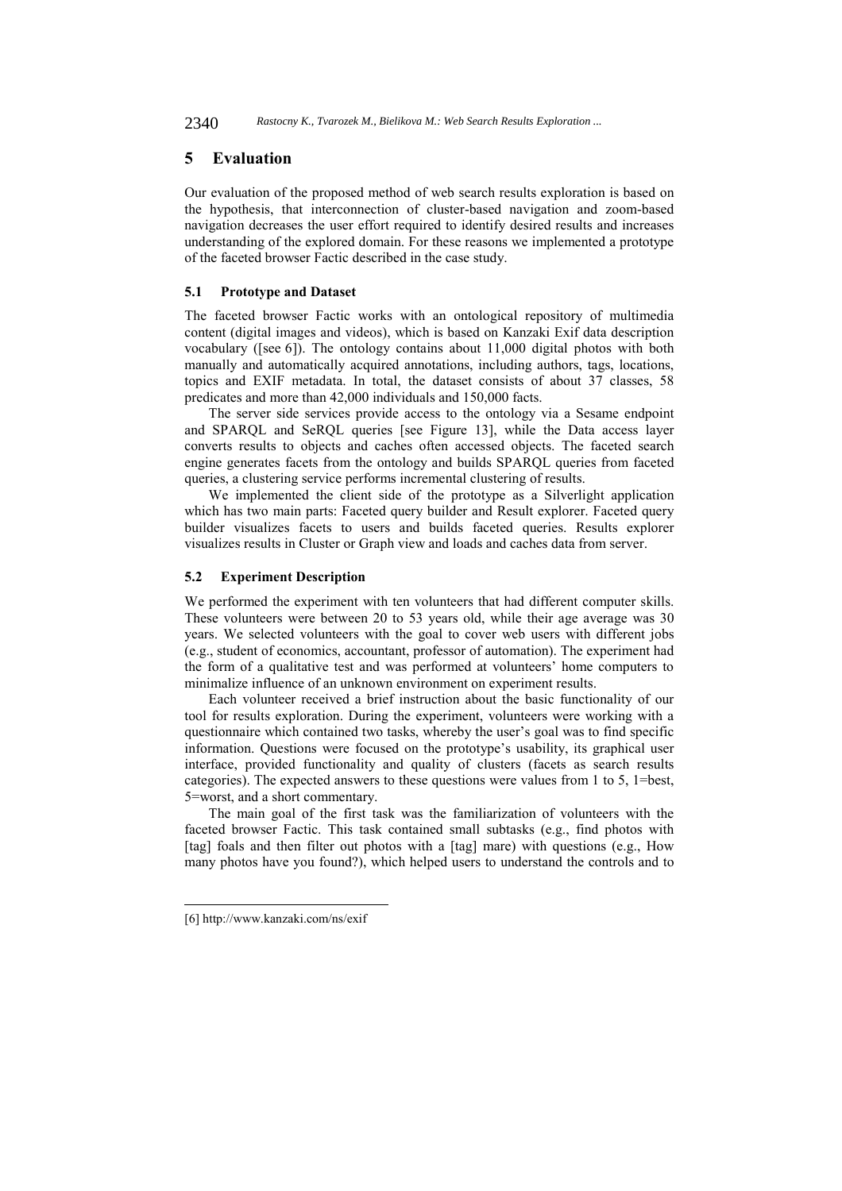2340 *Rastocny K., Tvarozek M., Bielikova M.: Web Search Results Exploration ...*

## **5 Evaluation**

Our evaluation of the proposed method of web search results exploration is based on the hypothesis, that interconnection of cluster-based navigation and zoom-based navigation decreases the user effort required to identify desired results and increases understanding of the explored domain. For these reasons we implemented a prototype of the faceted browser Factic described in the case study.

### **5.1 Prototype and Dataset**

The faceted browser Factic works with an ontological repository of multimedia content (digital images and videos), which is based on Kanzaki Exif data description vocabulary ([see 6]). The ontology contains about 11,000 digital photos with both manually and automatically acquired annotations, including authors, tags, locations, topics and EXIF metadata. In total, the dataset consists of about 37 classes, 58 predicates and more than 42,000 individuals and 150,000 facts.

The server side services provide access to the ontology via a Sesame endpoint and SPARQL and SeRQL queries [see Figure 13], while the Data access layer converts results to objects and caches often accessed objects. The faceted search engine generates facets from the ontology and builds SPARQL queries from faceted queries, a clustering service performs incremental clustering of results.

We implemented the client side of the prototype as a Silverlight application which has two main parts: Faceted query builder and Result explorer. Faceted query builder visualizes facets to users and builds faceted queries. Results explorer visualizes results in Cluster or Graph view and loads and caches data from server.

#### **5.2 Experiment Description**

We performed the experiment with ten volunteers that had different computer skills. These volunteers were between 20 to 53 years old, while their age average was 30 years. We selected volunteers with the goal to cover web users with different jobs (e.g., student of economics, accountant, professor of automation). The experiment had the form of a qualitative test and was performed at volunteers' home computers to minimalize influence of an unknown environment on experiment results.

Each volunteer received a brief instruction about the basic functionality of our tool for results exploration. During the experiment, volunteers were working with a questionnaire which contained two tasks, whereby the user's goal was to find specific information. Questions were focused on the prototype's usability, its graphical user interface, provided functionality and quality of clusters (facets as search results categories). The expected answers to these questions were values from 1 to 5, 1=best, 5=worst, and a short commentary.

The main goal of the first task was the familiarization of volunteers with the faceted browser Factic. This task contained small subtasks (e.g., find photos with [tag] foals and then filter out photos with a [tag] mare) with questions (e.g., How many photos have you found?), which helped users to understand the controls and to

l

<sup>[6]</sup> http://www.kanzaki.com/ns/exif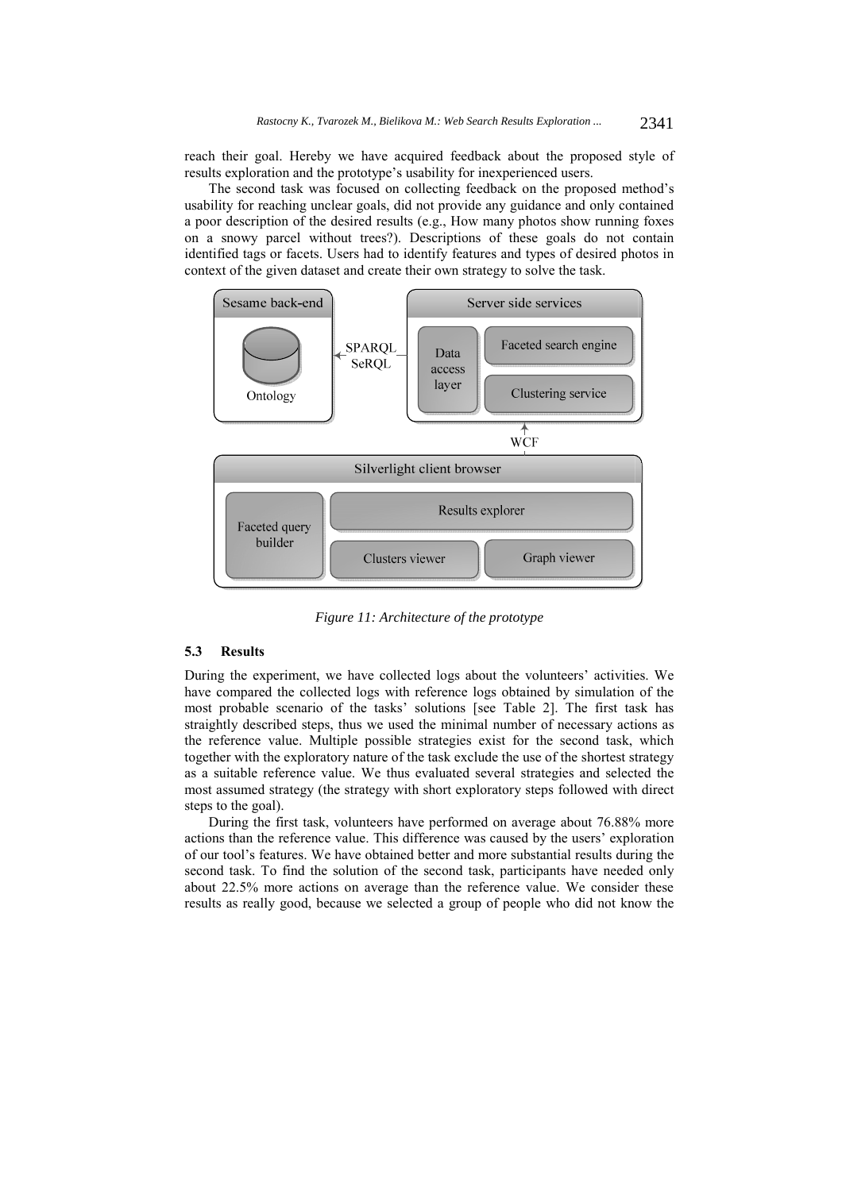reach their goal. Hereby we have acquired feedback about the proposed style of results exploration and the prototype's usability for inexperienced users.

The second task was focused on collecting feedback on the proposed method's usability for reaching unclear goals, did not provide any guidance and only contained a poor description of the desired results (e.g., How many photos show running foxes on a snowy parcel without trees?). Descriptions of these goals do not contain identified tags or facets. Users had to identify features and types of desired photos in context of the given dataset and create their own strategy to solve the task.



*Figure 11: Architecture of the prototype* 

### **5.3 Results**

During the experiment, we have collected logs about the volunteers' activities. We have compared the collected logs with reference logs obtained by simulation of the most probable scenario of the tasks' solutions [see Table 2]. The first task has straightly described steps, thus we used the minimal number of necessary actions as the reference value. Multiple possible strategies exist for the second task, which together with the exploratory nature of the task exclude the use of the shortest strategy as a suitable reference value. We thus evaluated several strategies and selected the most assumed strategy (the strategy with short exploratory steps followed with direct steps to the goal).

During the first task, volunteers have performed on average about 76.88% more actions than the reference value. This difference was caused by the users' exploration of our tool's features. We have obtained better and more substantial results during the second task. To find the solution of the second task, participants have needed only about 22.5% more actions on average than the reference value. We consider these results as really good, because we selected a group of people who did not know the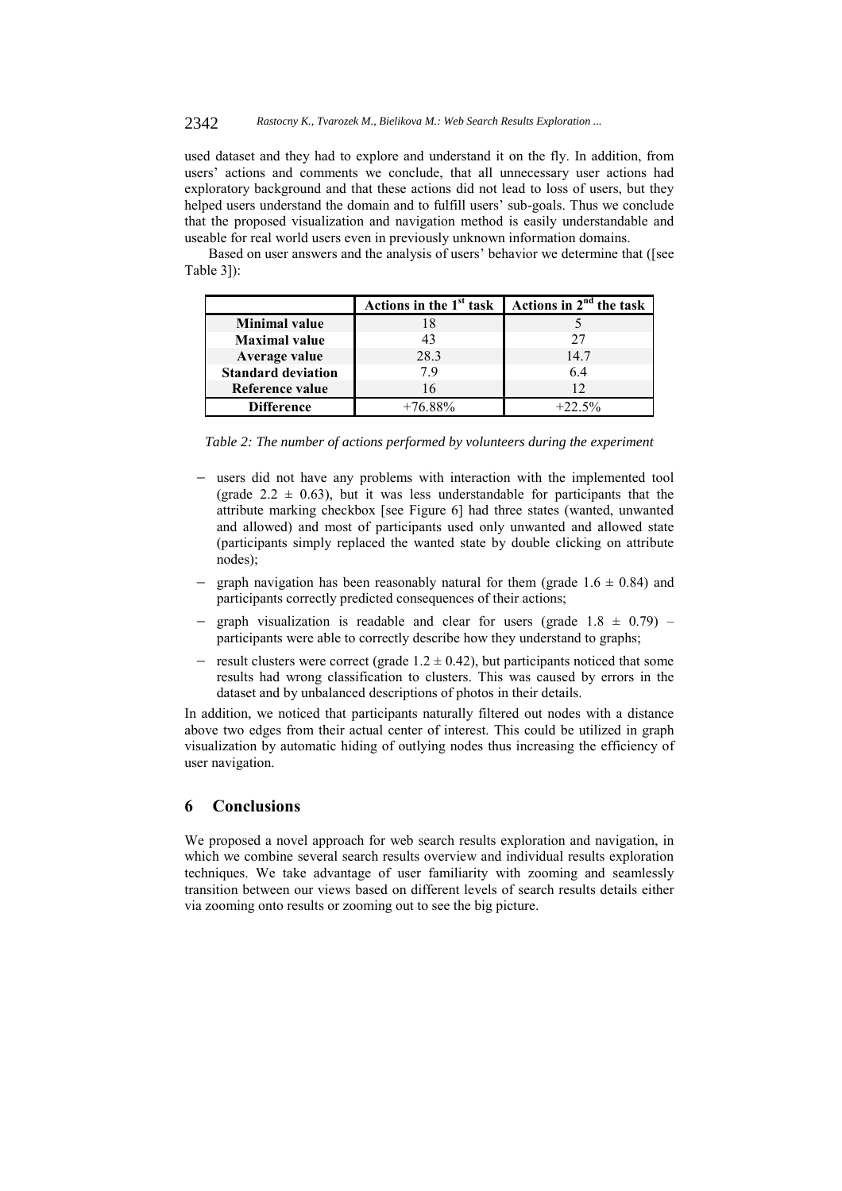### 2342 *Rastocny K., Tvarozek M., Bielikova M.: Web Search Results Exploration ...*

used dataset and they had to explore and understand it on the fly. In addition, from users' actions and comments we conclude, that all unnecessary user actions had exploratory background and that these actions did not lead to loss of users, but they helped users understand the domain and to fulfill users' sub-goals. Thus we conclude that the proposed visualization and navigation method is easily understandable and useable for real world users even in previously unknown information domains.

Based on user answers and the analysis of users' behavior we determine that ([see Table 3]):

|                           | Actions in the 1 <sup>st</sup> task | Actions in $2nd$ the task |
|---------------------------|-------------------------------------|---------------------------|
| <b>Minimal value</b>      |                                     |                           |
| <b>Maximal</b> value      | 43                                  | 27                        |
| Average value             | 28.3                                | 14.7                      |
| <b>Standard deviation</b> | 79                                  | 64                        |
| Reference value           |                                     | 12                        |
| <b>Difference</b>         |                                     | $+22.5%$                  |

*Table 2: The number of actions performed by volunteers during the experiment* 

- users did not have any problems with interaction with the implemented tool (grade 2.2  $\pm$  0.63), but it was less understandable for participants that the attribute marking checkbox [see Figure 6] had three states (wanted, unwanted and allowed) and most of participants used only unwanted and allowed state (participants simply replaced the wanted state by double clicking on attribute nodes);
- graph navigation has been reasonably natural for them (grade  $1.6 \pm 0.84$ ) and participants correctly predicted consequences of their actions;
- graph visualization is readable and clear for users (grade  $1.8 \pm 0.79$ ) participants were able to correctly describe how they understand to graphs;
- result clusters were correct (grade  $1.2 \pm 0.42$ ), but participants noticed that some results had wrong classification to clusters. This was caused by errors in the dataset and by unbalanced descriptions of photos in their details.

In addition, we noticed that participants naturally filtered out nodes with a distance above two edges from their actual center of interest. This could be utilized in graph visualization by automatic hiding of outlying nodes thus increasing the efficiency of user navigation.

## **6 Conclusions**

We proposed a novel approach for web search results exploration and navigation, in which we combine several search results overview and individual results exploration techniques. We take advantage of user familiarity with zooming and seamlessly transition between our views based on different levels of search results details either via zooming onto results or zooming out to see the big picture.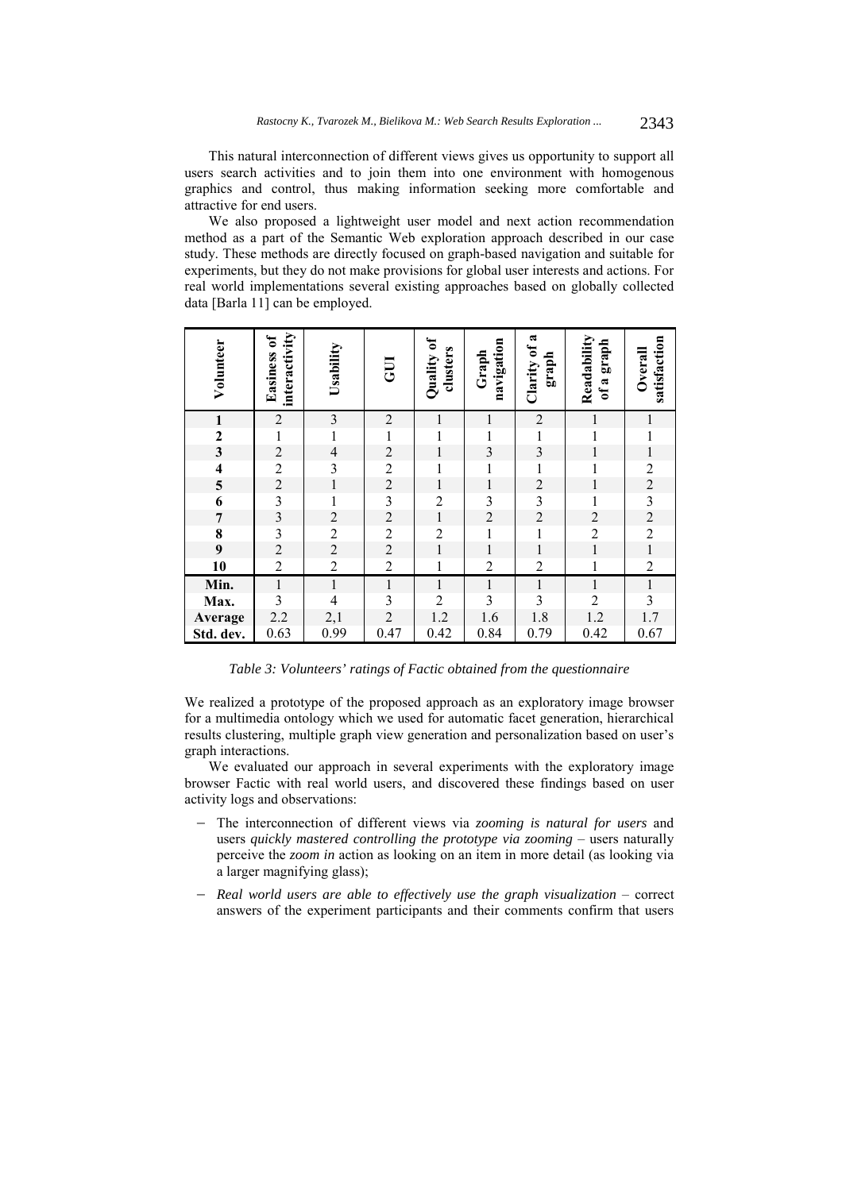This natural interconnection of different views gives us opportunity to support all users search activities and to join them into one environment with homogenous graphics and control, thus making information seeking more comfortable and attractive for end users.

We also proposed a lightweight user model and next action recommendation method as a part of the Semantic Web exploration approach described in our case study. These methods are directly focused on graph-based navigation and suitable for experiments, but they do not make provisions for global user interests and actions. For real world implementations several existing approaches based on globally collected data [Barla 11] can be employed.

| Volunteer                             | interactivity<br><b>Easiness of</b>             | Usability      | <b>UD</b>      | Quality of<br>clusters | navigation<br>Graph | Clarity of a<br>graph   | Readability<br>of a graph | satisfaction<br>Overall |
|---------------------------------------|-------------------------------------------------|----------------|----------------|------------------------|---------------------|-------------------------|---------------------------|-------------------------|
| $\mathbf{1}$                          | $\boldsymbol{2}$                                | $\mathfrak{Z}$ | $\overline{2}$ | 1                      | $\mathbf{1}$        | $\overline{c}$          | 1                         | 1                       |
| $\mathbf{2}$                          | $\mathbf{1}$                                    | $\mathbf{1}$   | 1              | $\mathbf{1}$           | $\mathbf{1}$        |                         |                           |                         |
| $\overline{\mathbf{3}}$               | $\overline{c}$                                  | $\overline{4}$ | $\overline{2}$ | $\mathbf{1}$           | $\mathfrak{Z}$      | $\frac{1}{3}$           |                           | $\mathbf{1}$            |
| $\overline{\mathbf{4}}$               | $\overline{\mathbf{c}}$                         | $\mathfrak{Z}$ | $\overline{2}$ | $\mathbf{1}$           | $\,1$               | $\mathbf{1}$            | $\mathbf{1}$              | $\overline{c}$          |
| 5                                     |                                                 | $\,1$          | $\overline{2}$ | $\mathbf{1}$           | $\,1\,$             | $\overline{c}$          | $\mathbf 1$               | $\overline{c}$          |
| $\overline{\mathbf{6}}$               |                                                 | $\mathbf{1}$   | $\mathfrak{Z}$ | $\overline{2}$         | $\mathfrak{Z}$      | $\overline{\mathbf{3}}$ | 1                         | $\overline{\mathbf{3}}$ |
| $\overline{\mathcal{I}}$              | $\begin{array}{c} 2 \\ 3 \\ 3 \\ 2 \end{array}$ | $\sqrt{2}$     | $\overline{c}$ | $\,1$                  | $\sqrt{2}$          | $\sqrt{2}$              | $\sqrt{2}$                | $\sqrt{2}$              |
|                                       |                                                 | $\overline{2}$ | $\overline{2}$ | $\overline{2}$         | $\mathbf 1$         | $\mathbf 1$             | $\overline{2}$            | $\overline{2}$          |
| $\begin{array}{c} 8 \\ 9 \end{array}$ |                                                 | $\overline{2}$ | $\overline{2}$ | $\mathbf{1}$           | $\mathbf{1}$        | $\mathbf{1}$            | $\mathbf{1}$              | $\,1$                   |
| 10                                    | $\overline{c}$                                  | $\sqrt{2}$     | $\overline{2}$ | $\mathbf{1}$           | $\boldsymbol{2}$    | $\overline{c}$          | $\mathbf{1}$              | $\sqrt{2}$              |
| Min.                                  | $\boldsymbol{1}$                                | $\,1$          | $\,1$          | $\,1$                  | $\,1$               | $\,1$                   | $\mathbf{1}$              | $\,1$                   |
| Max.                                  | $\overline{3}$                                  | $\overline{4}$ | $\overline{3}$ | $\overline{2}$         | $\overline{3}$      | $\overline{3}$          | $\overline{2}$            | $\overline{3}$          |
| Average                               | 2.2                                             | 2,1            | $\overline{2}$ | 1.2                    | 1.6                 | 1.8                     | 1.2                       | 1.7                     |
| Std. dev.                             | 0.63                                            | 0.99           | 0.47           | 0.42                   | 0.84                | 0.79                    | 0.42                      | 0.67                    |

*Table 3: Volunteers' ratings of Factic obtained from the questionnaire* 

We realized a prototype of the proposed approach as an exploratory image browser for a multimedia ontology which we used for automatic facet generation, hierarchical results clustering, multiple graph view generation and personalization based on user's graph interactions.

We evaluated our approach in several experiments with the exploratory image browser Factic with real world users, and discovered these findings based on user activity logs and observations:

- The interconnection of different views via *zooming is natural for users* and users *quickly mastered controlling the prototype via zooming* – users naturally perceive the *zoom in* action as looking on an item in more detail (as looking via a larger magnifying glass);
- *Real world users are able to effectively use the graph visualization* correct answers of the experiment participants and their comments confirm that users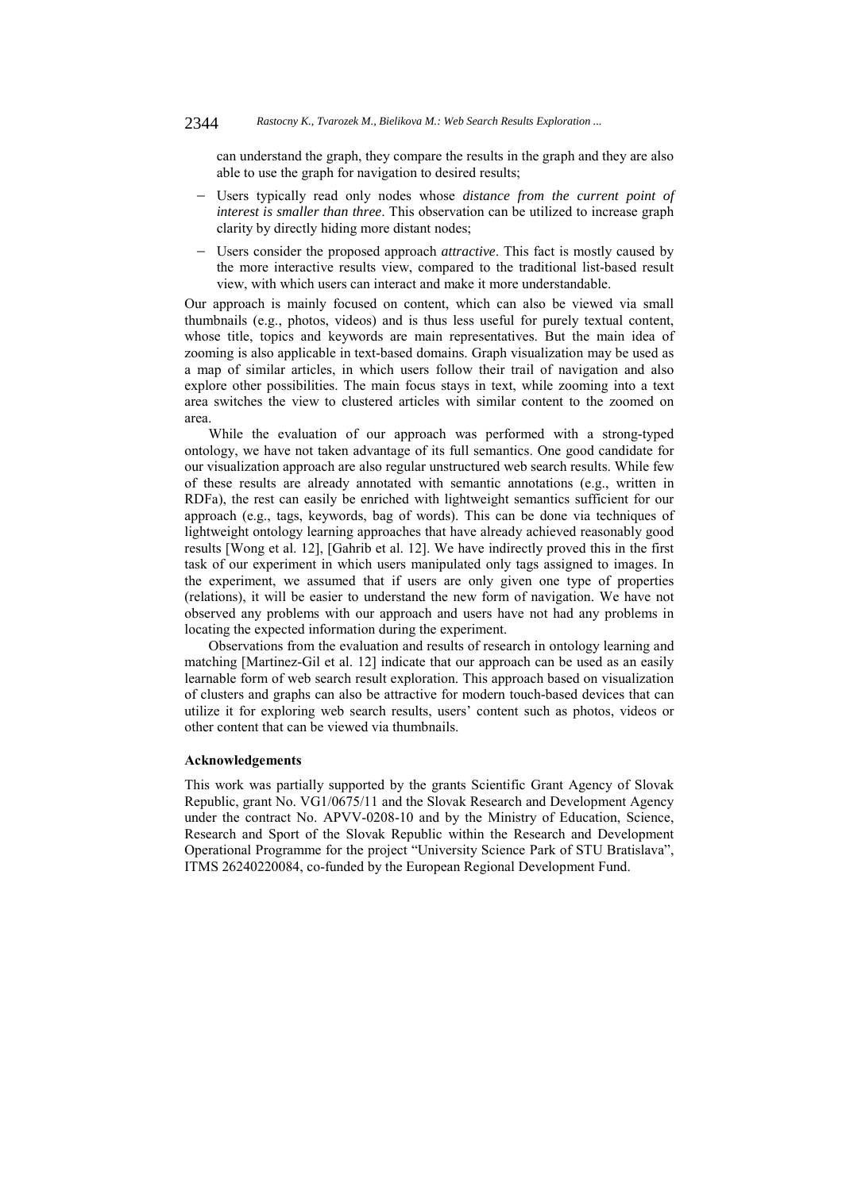can understand the graph, they compare the results in the graph and they are also able to use the graph for navigation to desired results;

- Users typically read only nodes whose *distance from the current point of interest is smaller than three*. This observation can be utilized to increase graph clarity by directly hiding more distant nodes;
- Users consider the proposed approach *attractive*. This fact is mostly caused by the more interactive results view, compared to the traditional list-based result view, with which users can interact and make it more understandable.

Our approach is mainly focused on content, which can also be viewed via small thumbnails (e.g., photos, videos) and is thus less useful for purely textual content, whose title, topics and keywords are main representatives. But the main idea of zooming is also applicable in text-based domains. Graph visualization may be used as a map of similar articles, in which users follow their trail of navigation and also explore other possibilities. The main focus stays in text, while zooming into a text area switches the view to clustered articles with similar content to the zoomed on area.

While the evaluation of our approach was performed with a strong-typed ontology, we have not taken advantage of its full semantics. One good candidate for our visualization approach are also regular unstructured web search results. While few of these results are already annotated with semantic annotations (e.g., written in RDFa), the rest can easily be enriched with lightweight semantics sufficient for our approach (e.g., tags, keywords, bag of words). This can be done via techniques of lightweight ontology learning approaches that have already achieved reasonably good results [Wong et al. 12], [Gahrib et al. 12]. We have indirectly proved this in the first task of our experiment in which users manipulated only tags assigned to images. In the experiment, we assumed that if users are only given one type of properties (relations), it will be easier to understand the new form of navigation. We have not observed any problems with our approach and users have not had any problems in locating the expected information during the experiment.

Observations from the evaluation and results of research in ontology learning and matching [Martinez-Gil et al. 12] indicate that our approach can be used as an easily learnable form of web search result exploration. This approach based on visualization of clusters and graphs can also be attractive for modern touch-based devices that can utilize it for exploring web search results, users' content such as photos, videos or other content that can be viewed via thumbnails.

#### **Acknowledgements**

This work was partially supported by the grants Scientific Grant Agency of Slovak Republic, grant No. VG1/0675/11 and the Slovak Research and Development Agency under the contract No. APVV-0208-10 and by the Ministry of Education, Science, Research and Sport of the Slovak Republic within the Research and Development Operational Programme for the project "University Science Park of STU Bratislava", ITMS 26240220084, co-funded by the European Regional Development Fund.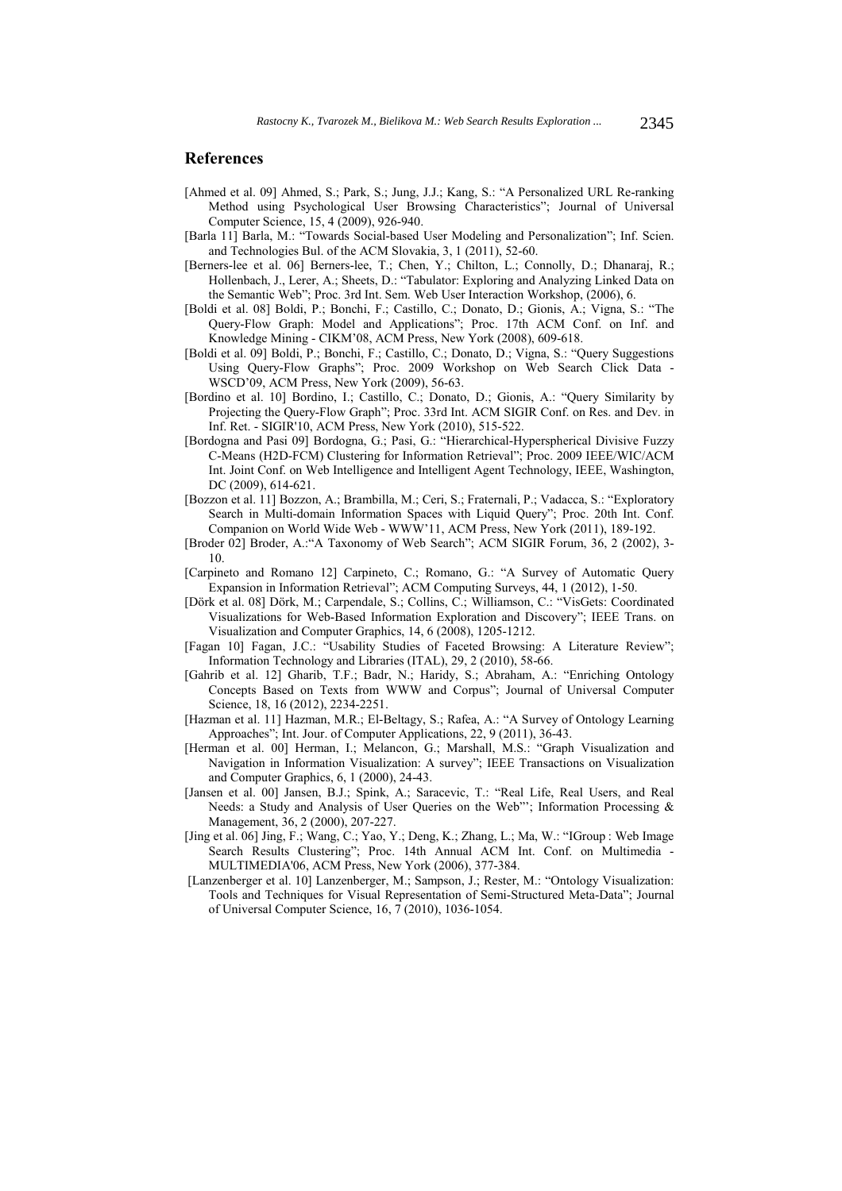## **References**

- [Ahmed et al. 09] Ahmed, S.; Park, S.; Jung, J.J.; Kang, S.: "A Personalized URL Re-ranking Method using Psychological User Browsing Characteristics"; Journal of Universal Computer Science, 15, 4 (2009), 926-940.
- [Barla 11] Barla, M.: "Towards Social-based User Modeling and Personalization"; Inf. Scien. and Technologies Bul. of the ACM Slovakia, 3, 1 (2011), 52-60.
- [Berners-lee et al. 06] Berners-lee, T.; Chen, Y.; Chilton, L.; Connolly, D.; Dhanaraj, R.; Hollenbach, J., Lerer, A.; Sheets, D.: "Tabulator: Exploring and Analyzing Linked Data on the Semantic Web"; Proc. 3rd Int. Sem. Web User Interaction Workshop, (2006), 6.
- [Boldi et al. 08] Boldi, P.; Bonchi, F.; Castillo, C.; Donato, D.; Gionis, A.; Vigna, S.: "The Query-Flow Graph: Model and Applications"; Proc. 17th ACM Conf. on Inf. and Knowledge Mining - CIKM'08, ACM Press, New York (2008), 609-618.
- [Boldi et al. 09] Boldi, P.; Bonchi, F.; Castillo, C.; Donato, D.; Vigna, S.: "Query Suggestions Using Query-Flow Graphs"; Proc. 2009 Workshop on Web Search Click Data - WSCD'09, ACM Press, New York (2009), 56-63.
- [Bordino et al. 10] Bordino, I.; Castillo, C.; Donato, D.; Gionis, A.: "Query Similarity by Projecting the Query-Flow Graph"; Proc. 33rd Int. ACM SIGIR Conf. on Res. and Dev. in Inf. Ret. - SIGIR'10, ACM Press, New York (2010), 515-522.
- [Bordogna and Pasi 09] Bordogna, G.; Pasi, G.: "Hierarchical-Hyperspherical Divisive Fuzzy C-Means (H2D-FCM) Clustering for Information Retrieval"; Proc. 2009 IEEE/WIC/ACM Int. Joint Conf. on Web Intelligence and Intelligent Agent Technology, IEEE, Washington, DC (2009), 614-621.
- [Bozzon et al. 11] Bozzon, A.; Brambilla, M.; Ceri, S.; Fraternali, P.; Vadacca, S.: "Exploratory Search in Multi-domain Information Spaces with Liquid Query"; Proc. 20th Int. Conf. Companion on World Wide Web - WWW'11, ACM Press, New York (2011), 189-192.
- [Broder 02] Broder, A.:"A Taxonomy of Web Search"; ACM SIGIR Forum, 36, 2 (2002), 3- 10.
- [Carpineto and Romano 12] Carpineto, C.; Romano, G.: "A Survey of Automatic Query Expansion in Information Retrieval"; ACM Computing Surveys, 44, 1 (2012), 1-50.
- [Dörk et al. 08] Dörk, M.; Carpendale, S.; Collins, C.; Williamson, C.: "VisGets: Coordinated Visualizations for Web-Based Information Exploration and Discovery"; IEEE Trans. on Visualization and Computer Graphics, 14, 6 (2008), 1205-1212.
- [Fagan 10] Fagan, J.C.: "Usability Studies of Faceted Browsing: A Literature Review"; Information Technology and Libraries (ITAL), 29, 2 (2010), 58-66.
- [Gahrib et al. 12] Gharib, T.F.; Badr, N.; Haridy, S.; Abraham, A.: "Enriching Ontology Concepts Based on Texts from WWW and Corpus"; Journal of Universal Computer Science, 18, 16 (2012), 2234-2251.
- [Hazman et al. 11] Hazman, M.R.; El-Beltagy, S.; Rafea, A.: "A Survey of Ontology Learning Approaches"; Int. Jour. of Computer Applications, 22, 9 (2011), 36-43.
- [Herman et al. 00] Herman, I.; Melancon, G.; Marshall, M.S.: "Graph Visualization and Navigation in Information Visualization: A survey"; IEEE Transactions on Visualization and Computer Graphics, 6, 1 (2000), 24-43.
- [Jansen et al. 00] Jansen, B.J.; Spink, A.; Saracevic, T.: "Real Life, Real Users, and Real Needs: a Study and Analysis of User Queries on the Web"'; Information Processing & Management, 36, 2 (2000), 207-227.
- [Jing et al. 06] Jing, F.; Wang, C.; Yao, Y.; Deng, K.; Zhang, L.; Ma, W.: "IGroup : Web Image Search Results Clustering"; Proc. 14th Annual ACM Int. Conf. on Multimedia - MULTIMEDIA'06, ACM Press, New York (2006), 377-384.
- [Lanzenberger et al. 10] Lanzenberger, M.; Sampson, J.; Rester, M.: "Ontology Visualization: Tools and Techniques for Visual Representation of Semi-Structured Meta-Data"; Journal of Universal Computer Science, 16, 7 (2010), 1036-1054.